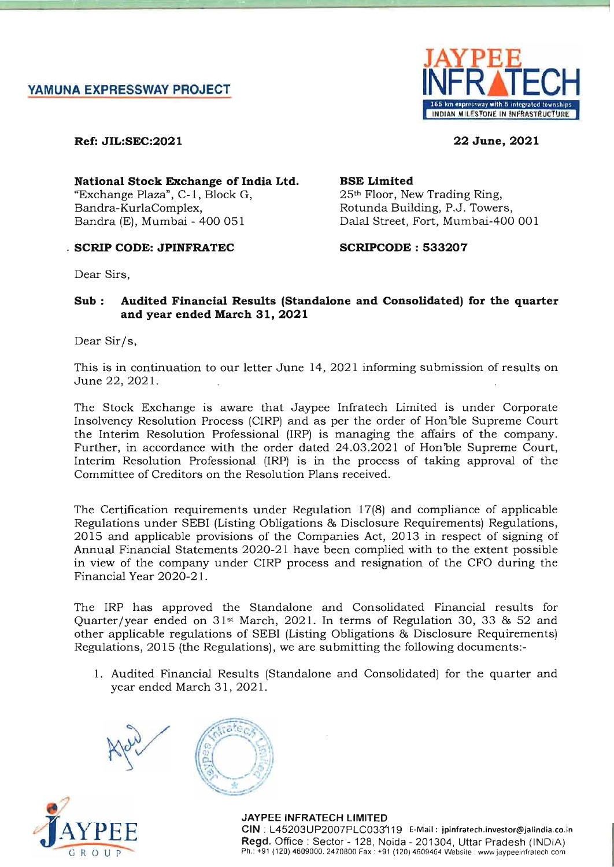

Ref: JIL:SEC:2021

22 June, 2021

National Stock Exchange of India Ltd. "Exchange Plaza", C-l, Block G, Bandra-KurlaComplex, Bandra (E), Mumbai - 400 051

# . SCRIP CODE: JPINFRATEC

# SCRIPCODE : 533207

25th Floor, New Trading Ring, Rotunda Building, P.J. Towers, Dalal Street, Fort, Mumbai-400 001

BSE Limited

Dear Sirs,

# Sub: Audited Financial Results (Standalone and Consolidated) for the quarter and year ended March 31, 2021

Dear Sir/s,

This is in continuation to our letter June 14, 2021 informing submission of results on June 22, 2021.

The Stock Exchange is aware that Jaypee Infratech Limited is under Corporate Insolvency Resolution Process (CIRP) and as per the order of Hon'ble Supreme Court the Interim Resolution Professional (IRP) is managing the affairs of the company. Further, in accordance with the order dated 24.03.2021 of Hon'ble Supreme Court, Interim Resolution Professional (IRP) is in the process of taking approval of the Committee of Creditors on the Resolution Plans received.

The Certification requirements under Regulation 17(8) and compliance of applicable Regulations under SEBI (Listing Obligations & Disclosure Requirements) Regulations, 2015 and applicable provisions of the Companies Act, 2013 in respect of signing of Annual Financial Statements 2020-21 have been complied with to the extent possible in view of the company under CIRP process and resignation of the CFO during the Financial Year 2020-21.

The IRP has approved the Standalone and Consolidated Financial results for Quarter /year ended on 31st March, 2021. In terms of Regulation 30, 33 & 52 and other applicable regulations of SEBI (Listing Obligations & Disclosure Requirements) Regulations, 2015 (the Regulations), we are submitting the following documents:-

1. Audited Financial Results (Standalone and Consolidated) for the quarter and year ended March 31, 2021.







JAYPEE INFRATECH LIMITED elN : L45203UP2007PLC033'119 E-Mail: jpinfratech.investor@jalindia.co.in Regd. Office : Sector - 128, Noida - 201304 , Uttar Pradesh (INDIA) Ph.: +91 (120) 4609000. 2470800 Fax : +91 (120) 4609464 Website : wwwjaypeeinfratech com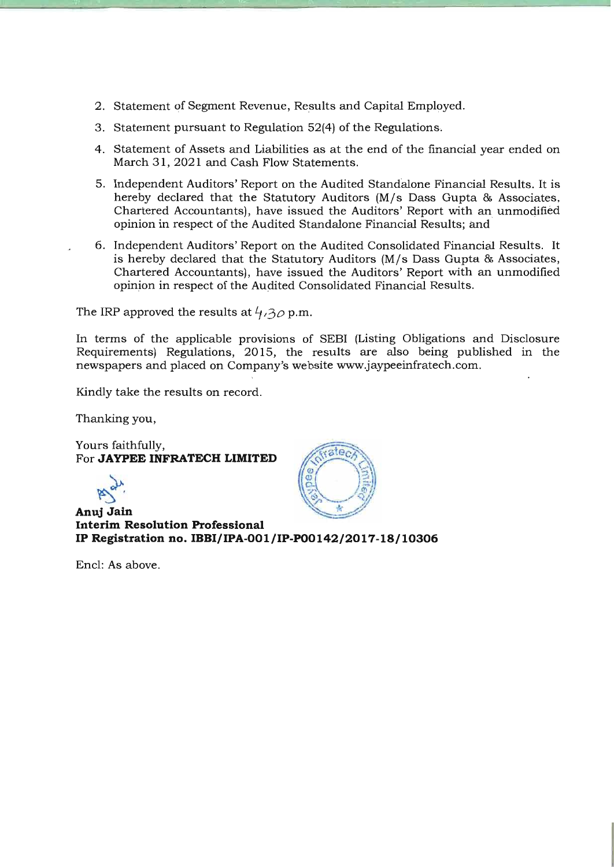- 2. Statement of Segment Revenue, Results and Capital Employed.
- 3. Statement pursuant to Regulation 52(4) of the Regulations.
- 4. Statement of Assets and Liabilities as at the end of the financial year ended on March 31,2021 and Cash Flow Statements.
- 5. Independent Auditors' Report on the Audited Standalone Financial Results. It is hereby declared that the Statutory Auditors (M/s Dass Gupta & Associates, Chartered Accountants), have issued the Auditors' Report with an unmodified opinion in respect of the Audited Standalone Financial Results; and
- 6. Independent Auditors' Report on the Audited Consolidated Financial Results. It is hereby declared that the Statutory Auditors (M/s Dass Gupta & Associates, Chartered Accountants), have issued the Auditors' Report with an unmodified opinion in respect of the Audited Consolidated Financial Results.

The IRP approved the results at  $4,30$  p.m.

In terms of the applicable provisions of SEBI (Listing Obligations and Disclosure Requirements) Regulations, 2015, the results are also being published in the newspapers and placed on Company's website www.jaypeeinfratech.com.

Kindly take the results on record.

Thanking you,

Yours faithfully, For **JAYPEE INFRATECH LIMITED** 

 $R^{\alpha}$ .

**Anuj Jain Interim Resolution Professional IP Registration no. IBBI/IPA-OOl/IP-PO0142/2017-18/10306** 

Encl: As above.

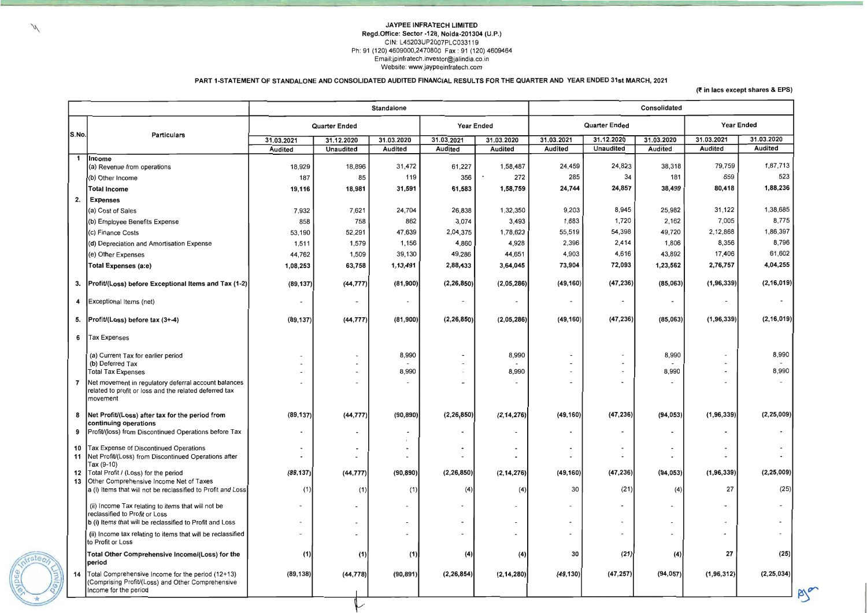#### JAYPEE INFRATECH LIMITED Regd.Office: Sector -128, Noida-201304 (U.P.) CIN: L45203UP2007PLC033119 Ph: 91 (120) 4609000,2470800 Fax : 91 (120) 4609464 Email:jpinfratech.investor@jalindia.co.in Website: www.jaypeeinfratech.com

PART 1-STATEMENT OF STANDALONE AND CONSOLIDATED AUDITED FINANCIAL RESULTS FOR THE QUARTER AND YEAR ENDED 31st MARCH, 2021

|       |                                                                                                                                    |                          |                          | <b>Standalone</b> |                          |                          |                          |                  | Consolidated             |                   |                |
|-------|------------------------------------------------------------------------------------------------------------------------------------|--------------------------|--------------------------|-------------------|--------------------------|--------------------------|--------------------------|------------------|--------------------------|-------------------|----------------|
|       |                                                                                                                                    |                          | <b>Quarter Ended</b>     |                   | <b>Year Ended</b>        |                          | <b>Quarter Ended</b>     |                  |                          | <b>Year Ended</b> |                |
| S.No. | Particulars                                                                                                                        | 31.03.2021               | 31.12.2020               | 31.03.2020        | 31.03.2021               | 31.03.2020               | 31.03.2021               | 31.12.2020       | 31.03.2020               | 31.03.2021        | 31.03.2020     |
| -1    |                                                                                                                                    | Audited                  | <b>Unaudited</b>         | <b>Audited</b>    | Audited                  | <b>Audited</b>           | <b>Audited</b>           | <b>Unaudited</b> | <b>Audited</b>           | <b>Audited</b>    | <b>Audited</b> |
|       | <b>Income</b><br>(a) Revenue from operations                                                                                       | 18,929                   | 18,896                   | 31,472            | 61,227                   | 1,58,487                 | 24,459                   | 24,823           | 38,318                   | 79,759            | 1,87,713       |
|       | (b) Other Income                                                                                                                   | 187                      | 85                       | 119               | 356                      | 272                      | 285                      | 34               | 181                      | 659               | 523            |
|       | <b>Total Income</b>                                                                                                                | 19,116                   | 18,981                   | 31,591            | 61,583                   | 1,58,759                 | 24,744                   | 24,857           | 38,499                   | 80,418            | 1,88,236       |
| 2.    | <b>Expenses</b>                                                                                                                    |                          |                          |                   |                          |                          |                          |                  |                          |                   |                |
|       | (a) Cost of Sales                                                                                                                  | 7,932                    | 7,621                    | 24,704            | 26,838                   | 1,32,350                 | 9,203                    | 8,945            | 25,982                   | 31,122            | 1,38,685       |
|       | (b) Employee Benefits Expense                                                                                                      | 858                      | 758                      | 862               | 3,074                    | 3,493                    | 1,883                    | 1,720            | 2,162                    | 7,005             | 8,775          |
|       | (c) Finance Costs                                                                                                                  | 53,190                   | 52,291                   | 47,639            | 2,04,375                 | 1,78,623                 | 55,519                   | 54,398           | 49,720                   | 2,12,868          | 1,86,397       |
|       | (d) Depreciation and Amortisation Expense                                                                                          | 1,511                    | 1,579                    | 1,156             | 4,860                    | 4,928                    | 2,396                    | 2,414            | 1,806                    | 8,356             | 8,796          |
|       | (e) Other Expenses                                                                                                                 | 44,762                   | 1,509                    | 39,130            | 49,286                   | 44,651                   | 4,903                    | 4,616            | 43,892                   | 17,406            | 61,602         |
|       | Total Expenses (a:e)                                                                                                               | 1,08,253                 | 63,758                   | 1,13,491          | 2,88,433                 | 3,64,045                 | 73,904                   | 72,093           | 1,23,562                 | 2,76,757          | 4,04,255       |
| 3.    | Profit/(Loss) before Exceptional Items and Tax (1-2)                                                                               | (89, 137)                | (44, 777)                | (81, 900)         | (2, 26, 850)             | (2,05,286)               | (49, 160)                | (47, 236)        | (85,063)                 | (1, 96, 339)      | (2, 16, 019)   |
|       | Exceptional Items (net)                                                                                                            | $\overline{\phantom{a}}$ | $\overline{\phantom{a}}$ |                   | $\overline{\phantom{a}}$ |                          | $\overline{\phantom{a}}$ | $\blacksquare$   | $\overline{\phantom{a}}$ |                   |                |
| 5.    | Profit/(Loss) before tax (3+-4)                                                                                                    | (89, 137)                | (44, 777)                | (81, 900)         | (2, 26, 850)             | (2,05,286)               | (49, 160)                | (47, 236)        | (85,063)                 | (1, 96, 339)      | (2, 16, 019)   |
| 6     | Tax Expenses                                                                                                                       |                          |                          |                   |                          |                          |                          |                  |                          |                   |                |
|       | (a) Current Tax for earlier period                                                                                                 |                          |                          | 8,990             | $\overline{\phantom{a}}$ | 8,990                    |                          |                  | 8,990                    |                   | 8,990          |
|       | (b) Deferred Tax<br><b>Total Tax Expenses</b>                                                                                      |                          |                          | 8,990             | ×                        | 8,990                    |                          |                  | 8,990                    |                   | 8,990          |
|       | Net movement in regulatory deferral account balances<br>related to profit or loss and the related deferred tax<br><b>Imovement</b> |                          |                          |                   | $\sim$                   |                          |                          |                  |                          |                   |                |
|       | Net Profit/(Loss) after tax for the period from<br>continuing operations                                                           | (89, 137)                | (44, 777)                | (90, 890)         | (2, 26, 850)             | (2, 14, 276)             | (49, 160)                | (47, 236)        | (94, 053)                | (1, 96, 339)      | (2, 25, 009)   |
|       | Profit/(loss) from Discontinued Operations before Tax                                                                              |                          |                          |                   |                          |                          |                          |                  |                          |                   |                |
| 11    | 10 Tax Expense of Discontinued Operations<br>Net Profit/(Loss) from Discontinued Operations after                                  |                          |                          |                   |                          |                          |                          |                  |                          |                   |                |
| 12    | Tax (9-10)<br>Total Profit / (Loss) for the period                                                                                 | (89, 137)                | (44, 777)                | (90, 890)         | (2, 26, 850)             | (2, 14, 276)             | (49, 160)                | (47, 236)        | (94, 053)                | (1,96,339)        | (2, 25, 009)   |
| 13    | Other Comprehensive Income Net of Taxes<br>a (i) Items that will not be reclassified to Profit and Loss                            | (1)                      | (1)                      | (1)               | (4)                      | (4)                      | 30                       | (21)             | (4)                      | 27                | (25)           |
|       | (ii) Income Tax relating to items that will not be<br>reclassified to Profit or Loss                                               |                          |                          |                   | $\overline{\phantom{a}}$ |                          |                          |                  |                          |                   |                |
|       | b (i) Items that will be reclassified to Profit and Loss                                                                           |                          |                          |                   | $\overline{\phantom{a}}$ |                          |                          |                  |                          |                   |                |
|       | (ii) Income tax relating to items that will be reclassified<br>to Profit or Loss                                                   |                          |                          |                   | $\overline{\phantom{a}}$ | $\overline{\phantom{a}}$ |                          |                  | $\overline{\phantom{a}}$ |                   |                |
|       | Total Other Comprehensive Income/(Loss) for the<br>period                                                                          | (1)                      | (1)                      | (1)               | (4)                      | (4)                      | 30                       | (21)             | (4)                      | 27                | (25)           |
| 14    | Total Comprehensive Income for the period (12+13)<br>(Comprising Profit/(Loss) and Other Comprehensive<br>Income for the period    | (89, 138)                | (44, 778)                | (90, 891)         | (2, 26, 854)             | (2, 14, 280)             | (49, 130)                | (47, 257)        | (94, 057)                | (1, 96, 312)      | (2, 25, 034)   |
|       |                                                                                                                                    |                          |                          |                   |                          |                          |                          |                  |                          |                   |                |

N

#### (f in lacs except shares & EPS)

 $B_{\infty}$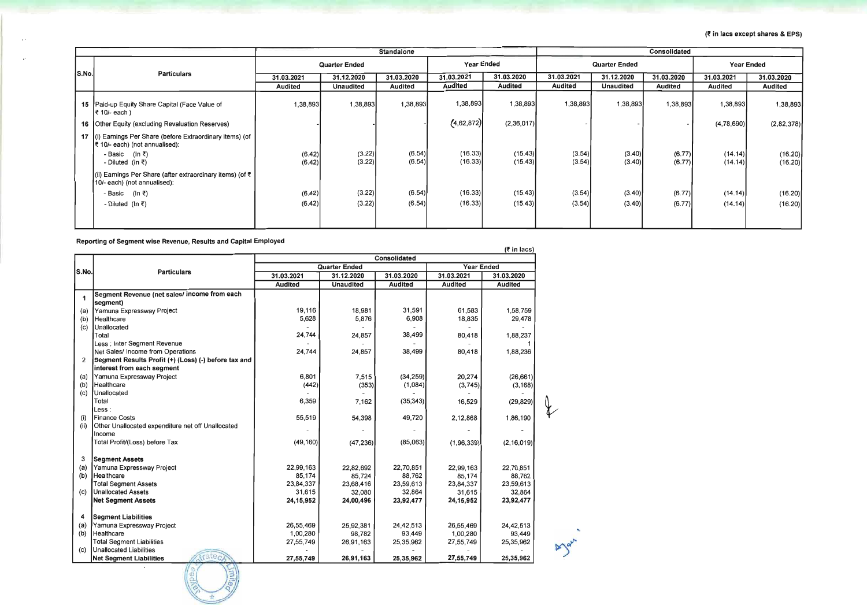|       |                                                                                                   |                      |                  | <b>Standalone</b> |                    |                    | <b>Consolidated</b>  |                  |                  |                    |                    |
|-------|---------------------------------------------------------------------------------------------------|----------------------|------------------|-------------------|--------------------|--------------------|----------------------|------------------|------------------|--------------------|--------------------|
|       |                                                                                                   | <b>Quarter Ended</b> |                  |                   | <b>Year Ended</b>  |                    | <b>Quarter Ended</b> |                  |                  | <b>Year Ended</b>  |                    |
| S.No. | <b>Particulars</b>                                                                                | 31.03.2021           | 31.12.2020       | 31.03.2020        | 31.03.2021         | 31.03.2020         | 31.03.2021           | 31.12.2020       | 31.03.2020       | 31.03.2021         | 31.03.2020         |
|       |                                                                                                   | Audited              | <b>Unaudited</b> | <b>Audited</b>    | <b>Audited</b>     | Audited            | <b>Audited</b>       | <b>Unaudited</b> | <b>Audited</b>   | <b>Audited</b>     | <b>Audited</b>     |
|       | 15   Paid-up Equity Share Capital (Face Value of<br> ₹ 10/- each )                                | 1,38,893             | 1,38,893         | 1,38,893          | 1,38,893           | 1,38,893           | 1,38,893             | 1,38,893         | 1,38,893         | 1,38,893           | 1,38,893           |
|       | 16 Other Equity (excluding Revaluation Reserves)                                                  |                      |                  |                   | (4, 62, 872)       | (2,36,017)         |                      |                  |                  | (4,78,690)         | (2,82,378)         |
|       | 17 (i) Earnings Per Share (before Extraordinary items) (of<br>₹ 10/- each) (not annualised):      |                      |                  |                   |                    |                    |                      |                  |                  |                    |                    |
|       | - Basic (In ₹)<br>- Diluted ( $\ln \overline{\xi}$ )                                              | (6.42)<br>(6.42)     | (3.22)<br>(3.22) | (6.54)<br>(6.54)  | (16.33)<br>(16.33) | (15.43)<br>(15.43) | (3.54)<br>(3.54)     | (3.40)<br>(3.40) | (6.77)<br>(6.77) | (14.14)<br>(14.14) | (16.20)<br>(16.20) |
|       | (ii) Earnings Per Share (after extraordinary items) (of $\bar{z}$<br>10/- each) (not annualised): |                      |                  |                   |                    |                    |                      |                  |                  |                    |                    |
|       | - Basic (In ₹)                                                                                    | (6.42)               | (3.22)           | (6.54)            | (16.33)            | (15.43)            | (3.54)               | (3.40)           | (6.77)           | (14.14)            | (16.20)            |
|       | - Diluted (In ₹)                                                                                  | (6.42)               | (3.22)           | (6.54)            | (16.33)            | (15.43)            | (3.54)               | (3.40)           | (6.77)           | (14.14)            | (16.20)            |
|       |                                                                                                   |                      |                  |                   |                    |                    |                      |                  |                  |                    |                    |

Reporting of Segment wise Revenue, Results and Capital Employed

 $\sim$ 

 $\cdot$ 

 $\frac{1}{2}$   $\frac{1}{2}$  $\sim$   $\sim$ \* -

|       |                                                      |                |                      | <b>Consolidated</b> |                |                |
|-------|------------------------------------------------------|----------------|----------------------|---------------------|----------------|----------------|
| S.No. | <b>Particulars</b>                                   |                | <b>Quarter Ended</b> | <b>Year Ended</b>   |                |                |
|       |                                                      | 31.03.2021     | 31.12.2020           | 31.03.2020          | 31.03.2021     | 31.03.2020     |
|       |                                                      | <b>Audited</b> | <b>Unaudited</b>     | <b>Audited</b>      | <b>Audited</b> | <b>Audited</b> |
| 1     | Segment Revenue (net sales/ income from each         |                |                      |                     |                |                |
|       | segment)                                             |                |                      |                     |                |                |
| (a)   | Yamuna Expressway Project                            | 19,116         | 18,981               | 31,591              | 61,583         | 1,58,759       |
| (b)   | Healthcare                                           | 5,628          | 5,876                | 6,908               | 18,835         | 29,478         |
| (c)   | Unallocated                                          |                |                      |                     |                |                |
|       | Total                                                | 24,744         | 24,857               | 38,499              | 80,418         | 1,88,237       |
|       | Less : Inter Segment Revenue                         |                |                      |                     |                |                |
|       | Net Sales/ Income from Operations                    | 24,744         | 24,857               | 38,499              | 80,418         | 1,88,236       |
| 2     | Segment Results Profit (+) (Loss) (-) before tax and |                |                      |                     |                |                |
|       | interest from each segment                           |                |                      |                     |                |                |
| (a)   | Yamuna Expressway Project                            | 6,801          | 7,515                | (34, 259)           | 20,274         | (26, 661)      |
| (b)   | Healthcare                                           | (442)          | (353)                | (1,084)             | (3,745)        | (3, 168)       |
| (c)   | Unallocated                                          |                |                      |                     |                |                |
|       | Total                                                | 6,359          | 7,162                | (35, 343)           | 16,529         | (29, 829)      |
|       | Less :                                               |                |                      |                     |                |                |
| (i)   | <b>Finance Costs</b>                                 | 55,519         | 54,398               | 49,720              | 2,12,868       | 1,86,190       |
| (ii)  | Other Unallocated expenditure net off Unallocated    |                |                      |                     |                |                |
|       | Income                                               |                |                      |                     |                |                |
|       | Total Profit/(Loss) before Tax                       | (49, 160)      | (47, 236)            | (85,063)            | (1,96,339)     | (2, 16, 019)   |
|       |                                                      |                |                      |                     |                |                |
| 3     | <b>Segment Assets</b>                                |                |                      |                     |                |                |
| (a)   | Yamuna Expressway Project                            | 22,99,163      | 22,82,692            | 22,70,851           | 22,99,163      | 22,70,851      |
| (b)   | Healthcare                                           | 85,174         | 85,724               | 88,762              | 85,174         | 88,762         |
|       | <b>Total Segment Assets</b>                          | 23,84,337      | 23,68,416            | 23,59,613           | 23,84,337      | 23,59,613      |
| (c)   | <b>Unallocated Assets</b>                            | 31,615         | 32,080               | 32,864              | 31,615         | 32,864         |
|       | <b>Net Segment Assets</b>                            | 24, 15, 952    | 24,00,496            | 23,92,477           | 24, 15, 952    | 23,92,477      |
|       |                                                      |                |                      |                     |                |                |
| 4     | <b>Segment Liabilities</b>                           |                |                      |                     |                |                |
|       | Yamuna Expressway Project                            | 26,55,469      | 25,92,381            | 24,42,513           | 26,55,469      | 24,42,513      |
| (a)   | Healthcare                                           |                |                      | 93,449              |                |                |
| (b)   | <b>Total Segment Liabilities</b>                     | 1,00,280       | 98,782               |                     | 1,00,280       | 93,449         |
|       | Unallocated Liabilities                              | 27,55,749      | 26,91,163            | 25,35,962           | 27,55,749      | 25,35,962      |
| (C)   | 1948                                                 |                |                      |                     |                |                |
|       | <b>Net Segment Liabilities</b>                       | 27,55,749      | 26,91,163            | 25,35,962           | 27,55,749      | 25,35,962      |

### $($ ₹ in lacs except shares & EPS)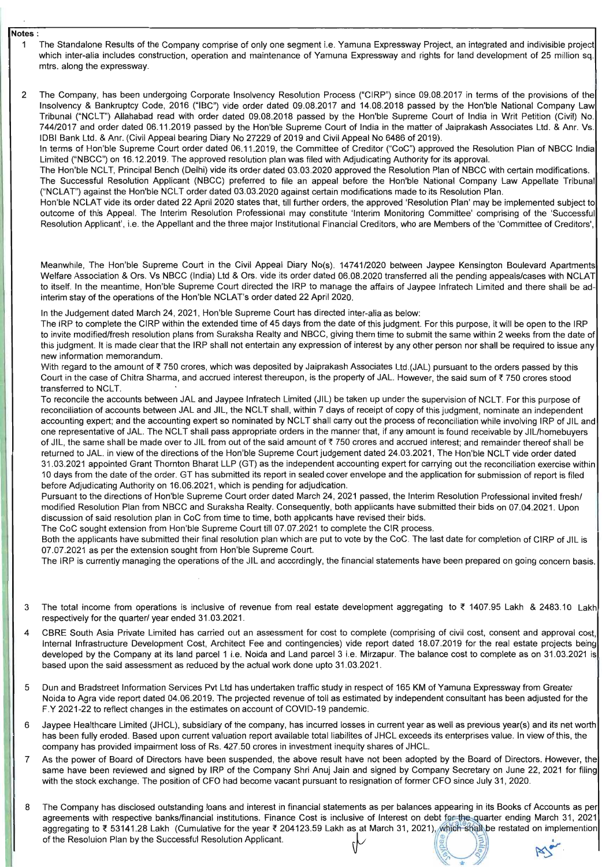I~

#### Notes:

- 1 The Standalone Results of the Company comprise of only one segment i.e. Yamuna Expressway Project, an integrated and indivisible project which inter-alia includes construction, operation and maintenance of Yamuna Expressway and rights for land development of 25 million sq. mtrs. along the expressway.
- 2 The Company, has been undergoing Corporate Insolvency Resolution Process ("CIRP") since 09.08.2017 in terms of the provisions of the Insolvency & Bankruptcy Code, 2016 ("IBC") vide order dated 09.08.2017 and 14.08.2018 passed by the Hon'ble National Company Law Tribunal ("NCLT") Allahabad read with order dated 09.08.2018 passed by the Hon'ble Supreme Court of India in Writ Petition (Civil) No. 744/2017 and order dated 06.11.2019 passed by the Hon'ble Supreme Court of India in the matter of Jaiprakash Associates Ltd. & Anr. Vs. IDBI Bank Ltd. & Anr. (Civil Appeal bearing Diary No 27229 of 2019 and Civil Appeal No 6486 of 2019).

In terms of Hon'ble Supreme Court order dated 06.11.2019, the Committee of Creditor ("CoC") approved the Resolution Plan of NBCC India Limited ("NBCC") on 16.12.2019. The approved resolution plan was filed with Adjudicating Authority for its approval.

The Hon'ble NCLT, Principal Bench (Delhi) vide its order dated 03.03.2020 approved the Resolution Plan of NBCC with certain modifications. The Successful Resolution Applicant (NBCC) preferred to file an appeal before the Hon'ble National Company Law Appellate Tribunal ("NCLAT") against the Hon'ble NCLT order dated 03.03.2020 against certain modifications made to its Resolution Plan.

Hon'ble NCLAT vide its order dated 22 April 2020 states that, till further orders, the approved 'Resolution Plan' may be implemented subject to outcome of this Appeal. The Interim Resolution Professional may constitute 'Interim Monitoring Committee' comprising of the 'Successful Resolution Applicant', i.e. the Appellant and the three major Institutional Financial Creditors, who are Members of the 'Committee of Creditors',

Meanwhile, The Hon'ble Supreme Court in the Civil Appeal Diary No(s). 14741/2020 between Jaypee Kensington Boulevard Apartments Welfare Association & Ors. Vs NBCC (India) Ltd & Ors. vide its order dated 06.08.2020 transferred all the pending appeals/cases with NCLAT to itself. In the meantime, Hon'ble Supreme Court directed the IRP to manage the affairs of Jaypee Infratech Limited and there shall be adinterim stay of the operations of the Hon'ble NCLAT's order dated 22 April 2020.

In the Judgement dated March 24, 2021, Hon'ble Supreme Court has directed inter-alia as below:

To reconcile the accounts between JAL and Jaypee Infratech Limited (JIL) be taken up under the supervision of NCLT. For this purpose of reconciliation of accounts between JAL and JIL, the NCLT shall, within 7 days of receipt of copy of this judgment, nominate an independent accounting expert; and the accounting expert so nominated by NCLT shall carry out the process of reconciliation while involving IRP of JIL and one representative of JAL. The NCLT shall pass appropriate orders in the manner that, if any amount is found receivable by JIL/homebuyers of JIL, the same shall be made over to JIL from out of the said amount of  $\bar{\tau}$  750 crores and accrued interest; and remainder thereof shall be returned to JAL. in view of the directions of the Hon'ble Supreme Court judgement dated 24.03.2021, The Hon'ble NCLT vide order dated 31 .03.2021 appointed Grant Thornton Bharat LLP (GT) as the independent accounting expert for carrying out the reconciliation exercise within 10 days from the date of the order. GT has submitted its report in sealed cover envelope and the application for submission of report is filed before Adjudicating Authority on 16.06.2021 , which is pending for adjudication.

Both the applicants have submitted their final resolution plan which are put to vote by the CoC. The last date for completion of CIRP of JIL is 07.07.2021 as per the extension sought from Hon'ble Supreme Court.

The IRP to complete the CIRP within the extended time of 45 days from the date of this judgment. For this purpose, it will be open to the IRP to invite modified/fresh resolution plans from Suraksha Realty and NBCC, giving them time to submit the same within 2 weeks from the date of this judgment. It is made clear that the IRP shall not entertain any expression of interest by any other person nor shall be required to issue any new information memorandum.

With regard to the amount of  $\bar{\tau}$  750 crores, which was deposited by Jaiprakash Associates Ltd.(JAL) pursuant to the orders passed by this Court in the case of Chitra Sharma, and accrued interest thereupon, is the property of JAL. However, the said sum of *t* 750 crores stood transferred to NCLT.

- 3 The total income from operations is inclusive of revenue from real estate development aggregating to ₹ 1407.95 Lakh & 2483.10 Lakh respectively for the quarter/ year ended 31.03.2021 .
- 4 CBRE South Asia Private Limited has carried out an assessment for cost to complete (comprising of civil cost, consent and approval cost, Internal Infrastructure Development Cost, Architect Fee and contingencies) vide report dated 18.07.2019 for the real estate projects being developed by the Company at its land parcel 1 i.e. Noida and Land parcel 3 i.e. Mirzapur. The balance cost to complete as on 31.03.2021 is

- 5 Dun and Bradstreet Information Services Pvt Ltd has undertaken traffic study in respect of 165 KM of Yamuna Expressway from Greater Noida to Agra vide report dated 04.06.2019. The projected revenue of toll as estimated by independent consultant has been adjusted for the F.Y 2021-22 to reflect changes in the estimates on account of COVlD-19 pandemic.
- 6 Jaypee Healthcare Limited (JHCL), subsidiary of the company, has incurred losses in current year as well as previous year(s) and its net worth has been fully eroded. Based upon current valuation report available total liabilites of JHCL exceeds its enterprises value. In view of this, the company has provided impairment loss of Rs. 427.50 crores in investment inequity shares of JHCL.
- 7 As the power of Board of Directors have been suspended, the above result have not been adopted by the Board of Directors. However, the same have been reviewed and signed by IRP of the Company Shri Anuj Jain and signed by Company Secretary on June 22, 2021 for filing with the stock exchange. The position of CFO had become vacant pursuant to resignation of former CFO since July 31,2020.
- The Company has disclosed outstanding loans and interest in financial statements as per balances appearing in its Books of Accounts as per 8 are company has disclosed outstanding loans and interest in midnolar statements as per balances appearing in its books of Accounts as per greements with respective banks/financial institutions. Finance Cost is inclusive of Interest on debt for the quarter ending March 31, 2021|<br>doregating to ₹ 53141.28 Lakh. (Cumulative for the year ₹ 204123.59 Lakh as at M aggregating to ₹ 53141.28 Lakh (Cumulative for the year ₹ 204123.59 Lakh as at March 31, 2021), which shall be restated on implemention<br>of the Resolution Plan by the Successful Resolution Applicant.

 $\sqrt{2}$ *·Ie* 

Pursuant to the directions of Hon'ble Supreme Court order dated March 24,2021 passed, the Interim Resolution Professional invited fresh/ modified Resolution Plan from NBCC and Suraksha Realty. Consequently, both applicants have submitted their bids on 07.04.2021. Upon discussion of said resolution plan in CoC from time to time, both applicants have revised their bids.

The CoC sought extension from Hon'ble Supreme Court till 07.07.2021 to complete the CIR process.

The IRP is currently managing the operations of the JIL and accordingly, the financial statements have been prepared on going concern basis.

based upon the said assessment as reduced by the actual work done upto 31.03.2021 .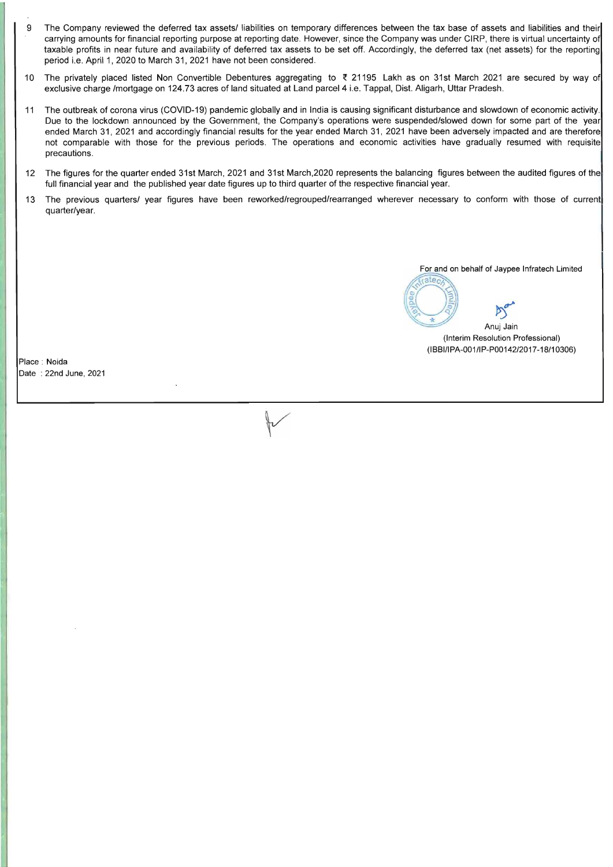- 9 The Company reviewed the deferred tax assets/ liabilities on temporary differences between the tax base of assets and liabilities and their carrying amounts for financial reporting purpose at reporting date. However, since the Company was under CIRP, there is virtual uncertainty of taxable profits in near future and availability of deferred tax assets to be set off. Accordingly, the deferred tax (net assets) for the reporting period i.e. April 1, 2020 to March 31, 2021 have not been considered.
- 10 The privately placed listed Non Convertible Debentures aggregating to  $\bar{\tau}$  21195 Lakh as on 31st March 2021 are secured by way of exclusive charge /mortgage on 124.73 acres of land situated at Land parcel 4 i.e. Tappal, Dist. Aligarh, Uttar Pradesh.
- 11 The outbreak of corona virus (COVID-19) pandemic globally and in India is causing significant disturbance and slowdown of economic activity. Due to the lockdown announced by the Government, the Company's operations were suspended/slowed down for some part of the year ended March 31, 2021 and accordingly financial results for the year ended March 31, 2021 have been adversely impacted and are therefore not comparable with those for the previous periods. The operations and economic activities have gradually resumed with requisite precautions.
- 12 The figures for the quarter ended 31st March, 2021 and 31st March,2020 represents the balancing figures between the audited figures of the full financial year and the published year date figures up to third quarter of the respective financial year.
- 13 The previous quarters/ year figures have been reworked/regrouped/rearranged wherever necessary to conform with those of current quarter/year.

For and on behalf of Jaypee Infratech Limited

ater

proven the property Anuj Jain (Interim Resolution Professional) (IBBI/IPA-001/IP-P00142/2017-18/10306)

Place : Noida Date : 22nd June, 2021

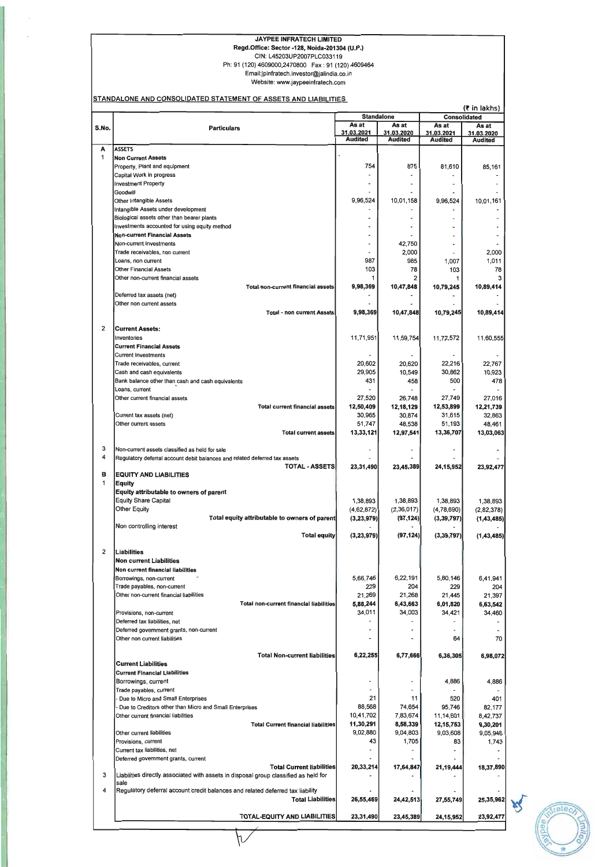# JAYPEE INFRATECH LIMITED

Regd.Office: Sector -128, Noida-201304 (U.P.)

#### CIN: L45203UP2007PLC033119 Ph: 91 (120) 4609000,2470800 Fax: 91 (120) 4609464 Email:jpinfratech.investor@jalindia.co.in

Website: www.jaypeeinfratech.com

| As at<br>As at<br>As at<br>As at<br>S.No.<br><b>Particulars</b><br>31.03.2021<br>31.03.2020<br>31.03.2021<br>31.03.2020<br>Audited<br><b>Audited</b><br><b>Audited</b><br>Audited<br>A<br><b>ASSETS</b><br>1<br><b>Non Current Assets</b><br>754<br>875<br>81,610<br>85,161<br>Property, Plant and equipment<br>Capital Work in progress<br><b>Investment Property</b><br>Goodwill<br>9,96,524<br>10,01,158<br>9,96,524<br>10,01,161<br>Other Intangible Assets<br>Intangible Assets under development<br>Biological assets other than bearer plants<br>Investments accounted for using equity method<br><b>Non-current Financial Assets</b><br>42,750<br>Non-current Investments<br>2,000<br>2,000<br>Trade receivables, non current<br>987<br>985<br>1,011<br>1,007<br>Loans, non current<br>103<br>78<br>103<br>78<br>Other Financial Assets<br>1<br>Other non-current financial assets<br>1<br>9,98,369<br>10,47,848<br>10,79,245<br>10,89,414<br>Total non-current financial assets<br>Deferred tax assets (net)<br>Other non current assets<br>9,98,369<br>10,47,848<br>10,79,245<br>10,89,414<br>Total - non current Assets<br>2<br><b>Current Assets:</b><br>11,71,951<br>11,59,754<br>11,72,572<br>Inventories<br>11,60,555<br><b>Current Financial Assets</b><br>Current Investments<br>20,602<br>20,620<br>22,216<br>22,767<br>Trade receivables, current<br>29,905<br>10,549<br>30,862<br>10,923<br>Cash and cash equivalents<br>431<br>458<br>500<br>478<br>Bank balance other than cash and cash equivalents<br>Loans, current<br>27,520<br>26,748<br>27,749<br>Other current financial assets<br>27,016<br>12,50,409<br>12,53,899<br>12,18,129<br><b>Total current financial assets</b><br>12,21,739<br>30,965<br>30,874<br>31,615<br>32,863<br>Current tax assets (net)<br>51,747<br>48,538<br>51,193<br>48,461<br>Other current assets<br>13,33,121<br>12,97,541<br>Total current assets<br>13,36,707<br>13,03,063<br>3<br>Non-current assets classified as held for sale<br>4<br>Regulatory deferral account debit balances and related deferred tax assets<br><b>TOTAL - ASSETS</b><br>23,31,490<br>23,45,389<br>24, 15, 952<br>23,92,477<br>в<br><b>EQUITY AND LIABILITIES</b><br>1<br>Equity<br>Equity attributable to owners of parent<br><b>Equity Share Capital</b><br>1,38,893<br>1,38,893<br>1,38,893<br>1,38,893<br><b>Other Equity</b><br>(4,62,872)<br>(2,36,017)<br>(4,78,690)<br>(2,82,378)<br>Total equity attributable to owners of parent<br>(3,23,979)<br>(97, 124)<br>(3, 39, 797)<br>(1,43,485)<br>Non controlling interest<br><b>Total equity</b><br>(3, 23, 979)<br>(97, 124)<br>(3, 39, 797)<br>(1, 43, 485)<br>$\overline{2}$<br><b>Liabilities</b><br><b>Non current Liabilities</b><br><b>Non current financial liabilities</b><br>5,66,746<br>6,22,191<br>5,80,146<br>6,41,941<br>Borrowings, non-current<br>Trade payables, non-current<br>229<br>229<br>204<br>204<br>Other non-current financial liabilities<br>21,269<br>21,268<br>21,445<br>21,397<br>Total non-current financial liabilities<br>5,88,244<br>6,43,663<br>6,01,820<br>6,63,542<br>34,011<br>34,003<br>34,421<br>34,460<br>Provisions, non-current<br>Deferred tax liabilities, net<br>Deferred government grants, non-current<br>64<br>70<br>Other non current liabilities<br><b>Total Non-current liabilities</b><br>6,22,255<br>6,77,666<br>6,36,305<br><b>Current Liabilities</b><br><b>Current Financial Liabilities</b><br>4,886<br>4,886<br>Borrowings, current<br>Trade payables, current<br>21<br>11<br>520<br>401<br>Due to Micro and Small Enterprises<br>88,568<br>74,654<br>95,746<br>82,177<br>Due to Creditors other than Micro and Small Enterprises<br>10,41,702<br>7,83,674<br>11,14,601<br>8,42,737<br>Other current financial liabilities<br>8,58,339<br>11,30,291<br>12, 15, 753<br>9,30,201<br><b>Total Current financial liabilities</b><br>9,02,880<br>9,04,803<br>9,03,608<br>9,05,946<br>Other current liabilities<br>1,705<br>43<br>83<br>1,743<br>Provisions, current<br>Current tax liabilities, net<br>Deferred government grants, current<br><b>Total Current liabilities</b><br>20,33,214<br>17,64,847<br>21,19,444<br>18,37,890<br>3<br>Liabilities directly associated with assets in disposal group classified as held for<br>sale<br>Regulatory deferral account credit balances and related deferred tax liability<br>4<br><b>Total Liabilities</b><br>26,55,469<br>24,42,513<br>27,55,749<br><b>TOTAL-EQUITY AND LIABILITIES</b><br>23,31,490<br>23,45,389<br>24, 15, 952<br>23,92,477 |  | <b>Standalone</b> | <b>Consolidated</b> | $($ * in lakhs) |
|---------------------------------------------------------------------------------------------------------------------------------------------------------------------------------------------------------------------------------------------------------------------------------------------------------------------------------------------------------------------------------------------------------------------------------------------------------------------------------------------------------------------------------------------------------------------------------------------------------------------------------------------------------------------------------------------------------------------------------------------------------------------------------------------------------------------------------------------------------------------------------------------------------------------------------------------------------------------------------------------------------------------------------------------------------------------------------------------------------------------------------------------------------------------------------------------------------------------------------------------------------------------------------------------------------------------------------------------------------------------------------------------------------------------------------------------------------------------------------------------------------------------------------------------------------------------------------------------------------------------------------------------------------------------------------------------------------------------------------------------------------------------------------------------------------------------------------------------------------------------------------------------------------------------------------------------------------------------------------------------------------------------------------------------------------------------------------------------------------------------------------------------------------------------------------------------------------------------------------------------------------------------------------------------------------------------------------------------------------------------------------------------------------------------------------------------------------------------------------------------------------------------------------------------------------------------------------------------------------------------------------------------------------------------------------------------------------------------------------------------------------------------------------------------------------------------------------------------------------------------------------------------------------------------------------------------------------------------------------------------------------------------------------------------------------------------------------------------------------------------------------------------------------------------------------------------------------------------------------------------------------------------------------------------------------------------------------------------------------------------------------------------------------------------------------------------------------------------------------------------------------------------------------------------------------------------------------------------------------------------------------------------------------------------------------------------------------------------------------------------------------------------------------------------------------------------------------------------------------------------------------------------------------------------------------------------------------------------------------------------------------------------------------------------------------------------------------------------------------------------------------------------------------------------------------------------------------------------------------------------------------------------------------------------------------------------------------------------------------------------------------------------------------------------------------------------------------------------------------------------------------------------------------------------|--|-------------------|---------------------|-----------------|
|                                                                                                                                                                                                                                                                                                                                                                                                                                                                                                                                                                                                                                                                                                                                                                                                                                                                                                                                                                                                                                                                                                                                                                                                                                                                                                                                                                                                                                                                                                                                                                                                                                                                                                                                                                                                                                                                                                                                                                                                                                                                                                                                                                                                                                                                                                                                                                                                                                                                                                                                                                                                                                                                                                                                                                                                                                                                                                                                                                                                                                                                                                                                                                                                                                                                                                                                                                                                                                                                                                                                                                                                                                                                                                                                                                                                                                                                                                                                                                                                                                                                                                                                                                                                                                                                                                                                                                                                                                                                                                                                             |  |                   |                     |                 |
|                                                                                                                                                                                                                                                                                                                                                                                                                                                                                                                                                                                                                                                                                                                                                                                                                                                                                                                                                                                                                                                                                                                                                                                                                                                                                                                                                                                                                                                                                                                                                                                                                                                                                                                                                                                                                                                                                                                                                                                                                                                                                                                                                                                                                                                                                                                                                                                                                                                                                                                                                                                                                                                                                                                                                                                                                                                                                                                                                                                                                                                                                                                                                                                                                                                                                                                                                                                                                                                                                                                                                                                                                                                                                                                                                                                                                                                                                                                                                                                                                                                                                                                                                                                                                                                                                                                                                                                                                                                                                                                                             |  |                   |                     |                 |
|                                                                                                                                                                                                                                                                                                                                                                                                                                                                                                                                                                                                                                                                                                                                                                                                                                                                                                                                                                                                                                                                                                                                                                                                                                                                                                                                                                                                                                                                                                                                                                                                                                                                                                                                                                                                                                                                                                                                                                                                                                                                                                                                                                                                                                                                                                                                                                                                                                                                                                                                                                                                                                                                                                                                                                                                                                                                                                                                                                                                                                                                                                                                                                                                                                                                                                                                                                                                                                                                                                                                                                                                                                                                                                                                                                                                                                                                                                                                                                                                                                                                                                                                                                                                                                                                                                                                                                                                                                                                                                                                             |  |                   |                     |                 |
|                                                                                                                                                                                                                                                                                                                                                                                                                                                                                                                                                                                                                                                                                                                                                                                                                                                                                                                                                                                                                                                                                                                                                                                                                                                                                                                                                                                                                                                                                                                                                                                                                                                                                                                                                                                                                                                                                                                                                                                                                                                                                                                                                                                                                                                                                                                                                                                                                                                                                                                                                                                                                                                                                                                                                                                                                                                                                                                                                                                                                                                                                                                                                                                                                                                                                                                                                                                                                                                                                                                                                                                                                                                                                                                                                                                                                                                                                                                                                                                                                                                                                                                                                                                                                                                                                                                                                                                                                                                                                                                                             |  |                   |                     |                 |
|                                                                                                                                                                                                                                                                                                                                                                                                                                                                                                                                                                                                                                                                                                                                                                                                                                                                                                                                                                                                                                                                                                                                                                                                                                                                                                                                                                                                                                                                                                                                                                                                                                                                                                                                                                                                                                                                                                                                                                                                                                                                                                                                                                                                                                                                                                                                                                                                                                                                                                                                                                                                                                                                                                                                                                                                                                                                                                                                                                                                                                                                                                                                                                                                                                                                                                                                                                                                                                                                                                                                                                                                                                                                                                                                                                                                                                                                                                                                                                                                                                                                                                                                                                                                                                                                                                                                                                                                                                                                                                                                             |  |                   |                     |                 |
|                                                                                                                                                                                                                                                                                                                                                                                                                                                                                                                                                                                                                                                                                                                                                                                                                                                                                                                                                                                                                                                                                                                                                                                                                                                                                                                                                                                                                                                                                                                                                                                                                                                                                                                                                                                                                                                                                                                                                                                                                                                                                                                                                                                                                                                                                                                                                                                                                                                                                                                                                                                                                                                                                                                                                                                                                                                                                                                                                                                                                                                                                                                                                                                                                                                                                                                                                                                                                                                                                                                                                                                                                                                                                                                                                                                                                                                                                                                                                                                                                                                                                                                                                                                                                                                                                                                                                                                                                                                                                                                                             |  |                   |                     |                 |
|                                                                                                                                                                                                                                                                                                                                                                                                                                                                                                                                                                                                                                                                                                                                                                                                                                                                                                                                                                                                                                                                                                                                                                                                                                                                                                                                                                                                                                                                                                                                                                                                                                                                                                                                                                                                                                                                                                                                                                                                                                                                                                                                                                                                                                                                                                                                                                                                                                                                                                                                                                                                                                                                                                                                                                                                                                                                                                                                                                                                                                                                                                                                                                                                                                                                                                                                                                                                                                                                                                                                                                                                                                                                                                                                                                                                                                                                                                                                                                                                                                                                                                                                                                                                                                                                                                                                                                                                                                                                                                                                             |  |                   |                     |                 |
|                                                                                                                                                                                                                                                                                                                                                                                                                                                                                                                                                                                                                                                                                                                                                                                                                                                                                                                                                                                                                                                                                                                                                                                                                                                                                                                                                                                                                                                                                                                                                                                                                                                                                                                                                                                                                                                                                                                                                                                                                                                                                                                                                                                                                                                                                                                                                                                                                                                                                                                                                                                                                                                                                                                                                                                                                                                                                                                                                                                                                                                                                                                                                                                                                                                                                                                                                                                                                                                                                                                                                                                                                                                                                                                                                                                                                                                                                                                                                                                                                                                                                                                                                                                                                                                                                                                                                                                                                                                                                                                                             |  |                   |                     |                 |
|                                                                                                                                                                                                                                                                                                                                                                                                                                                                                                                                                                                                                                                                                                                                                                                                                                                                                                                                                                                                                                                                                                                                                                                                                                                                                                                                                                                                                                                                                                                                                                                                                                                                                                                                                                                                                                                                                                                                                                                                                                                                                                                                                                                                                                                                                                                                                                                                                                                                                                                                                                                                                                                                                                                                                                                                                                                                                                                                                                                                                                                                                                                                                                                                                                                                                                                                                                                                                                                                                                                                                                                                                                                                                                                                                                                                                                                                                                                                                                                                                                                                                                                                                                                                                                                                                                                                                                                                                                                                                                                                             |  |                   |                     |                 |
|                                                                                                                                                                                                                                                                                                                                                                                                                                                                                                                                                                                                                                                                                                                                                                                                                                                                                                                                                                                                                                                                                                                                                                                                                                                                                                                                                                                                                                                                                                                                                                                                                                                                                                                                                                                                                                                                                                                                                                                                                                                                                                                                                                                                                                                                                                                                                                                                                                                                                                                                                                                                                                                                                                                                                                                                                                                                                                                                                                                                                                                                                                                                                                                                                                                                                                                                                                                                                                                                                                                                                                                                                                                                                                                                                                                                                                                                                                                                                                                                                                                                                                                                                                                                                                                                                                                                                                                                                                                                                                                                             |  |                   |                     |                 |
|                                                                                                                                                                                                                                                                                                                                                                                                                                                                                                                                                                                                                                                                                                                                                                                                                                                                                                                                                                                                                                                                                                                                                                                                                                                                                                                                                                                                                                                                                                                                                                                                                                                                                                                                                                                                                                                                                                                                                                                                                                                                                                                                                                                                                                                                                                                                                                                                                                                                                                                                                                                                                                                                                                                                                                                                                                                                                                                                                                                                                                                                                                                                                                                                                                                                                                                                                                                                                                                                                                                                                                                                                                                                                                                                                                                                                                                                                                                                                                                                                                                                                                                                                                                                                                                                                                                                                                                                                                                                                                                                             |  |                   |                     |                 |
|                                                                                                                                                                                                                                                                                                                                                                                                                                                                                                                                                                                                                                                                                                                                                                                                                                                                                                                                                                                                                                                                                                                                                                                                                                                                                                                                                                                                                                                                                                                                                                                                                                                                                                                                                                                                                                                                                                                                                                                                                                                                                                                                                                                                                                                                                                                                                                                                                                                                                                                                                                                                                                                                                                                                                                                                                                                                                                                                                                                                                                                                                                                                                                                                                                                                                                                                                                                                                                                                                                                                                                                                                                                                                                                                                                                                                                                                                                                                                                                                                                                                                                                                                                                                                                                                                                                                                                                                                                                                                                                                             |  |                   |                     |                 |
|                                                                                                                                                                                                                                                                                                                                                                                                                                                                                                                                                                                                                                                                                                                                                                                                                                                                                                                                                                                                                                                                                                                                                                                                                                                                                                                                                                                                                                                                                                                                                                                                                                                                                                                                                                                                                                                                                                                                                                                                                                                                                                                                                                                                                                                                                                                                                                                                                                                                                                                                                                                                                                                                                                                                                                                                                                                                                                                                                                                                                                                                                                                                                                                                                                                                                                                                                                                                                                                                                                                                                                                                                                                                                                                                                                                                                                                                                                                                                                                                                                                                                                                                                                                                                                                                                                                                                                                                                                                                                                                                             |  |                   |                     |                 |
|                                                                                                                                                                                                                                                                                                                                                                                                                                                                                                                                                                                                                                                                                                                                                                                                                                                                                                                                                                                                                                                                                                                                                                                                                                                                                                                                                                                                                                                                                                                                                                                                                                                                                                                                                                                                                                                                                                                                                                                                                                                                                                                                                                                                                                                                                                                                                                                                                                                                                                                                                                                                                                                                                                                                                                                                                                                                                                                                                                                                                                                                                                                                                                                                                                                                                                                                                                                                                                                                                                                                                                                                                                                                                                                                                                                                                                                                                                                                                                                                                                                                                                                                                                                                                                                                                                                                                                                                                                                                                                                                             |  |                   |                     |                 |
|                                                                                                                                                                                                                                                                                                                                                                                                                                                                                                                                                                                                                                                                                                                                                                                                                                                                                                                                                                                                                                                                                                                                                                                                                                                                                                                                                                                                                                                                                                                                                                                                                                                                                                                                                                                                                                                                                                                                                                                                                                                                                                                                                                                                                                                                                                                                                                                                                                                                                                                                                                                                                                                                                                                                                                                                                                                                                                                                                                                                                                                                                                                                                                                                                                                                                                                                                                                                                                                                                                                                                                                                                                                                                                                                                                                                                                                                                                                                                                                                                                                                                                                                                                                                                                                                                                                                                                                                                                                                                                                                             |  |                   |                     |                 |
|                                                                                                                                                                                                                                                                                                                                                                                                                                                                                                                                                                                                                                                                                                                                                                                                                                                                                                                                                                                                                                                                                                                                                                                                                                                                                                                                                                                                                                                                                                                                                                                                                                                                                                                                                                                                                                                                                                                                                                                                                                                                                                                                                                                                                                                                                                                                                                                                                                                                                                                                                                                                                                                                                                                                                                                                                                                                                                                                                                                                                                                                                                                                                                                                                                                                                                                                                                                                                                                                                                                                                                                                                                                                                                                                                                                                                                                                                                                                                                                                                                                                                                                                                                                                                                                                                                                                                                                                                                                                                                                                             |  |                   |                     |                 |
|                                                                                                                                                                                                                                                                                                                                                                                                                                                                                                                                                                                                                                                                                                                                                                                                                                                                                                                                                                                                                                                                                                                                                                                                                                                                                                                                                                                                                                                                                                                                                                                                                                                                                                                                                                                                                                                                                                                                                                                                                                                                                                                                                                                                                                                                                                                                                                                                                                                                                                                                                                                                                                                                                                                                                                                                                                                                                                                                                                                                                                                                                                                                                                                                                                                                                                                                                                                                                                                                                                                                                                                                                                                                                                                                                                                                                                                                                                                                                                                                                                                                                                                                                                                                                                                                                                                                                                                                                                                                                                                                             |  |                   |                     |                 |
|                                                                                                                                                                                                                                                                                                                                                                                                                                                                                                                                                                                                                                                                                                                                                                                                                                                                                                                                                                                                                                                                                                                                                                                                                                                                                                                                                                                                                                                                                                                                                                                                                                                                                                                                                                                                                                                                                                                                                                                                                                                                                                                                                                                                                                                                                                                                                                                                                                                                                                                                                                                                                                                                                                                                                                                                                                                                                                                                                                                                                                                                                                                                                                                                                                                                                                                                                                                                                                                                                                                                                                                                                                                                                                                                                                                                                                                                                                                                                                                                                                                                                                                                                                                                                                                                                                                                                                                                                                                                                                                                             |  |                   |                     |                 |
|                                                                                                                                                                                                                                                                                                                                                                                                                                                                                                                                                                                                                                                                                                                                                                                                                                                                                                                                                                                                                                                                                                                                                                                                                                                                                                                                                                                                                                                                                                                                                                                                                                                                                                                                                                                                                                                                                                                                                                                                                                                                                                                                                                                                                                                                                                                                                                                                                                                                                                                                                                                                                                                                                                                                                                                                                                                                                                                                                                                                                                                                                                                                                                                                                                                                                                                                                                                                                                                                                                                                                                                                                                                                                                                                                                                                                                                                                                                                                                                                                                                                                                                                                                                                                                                                                                                                                                                                                                                                                                                                             |  |                   |                     |                 |
|                                                                                                                                                                                                                                                                                                                                                                                                                                                                                                                                                                                                                                                                                                                                                                                                                                                                                                                                                                                                                                                                                                                                                                                                                                                                                                                                                                                                                                                                                                                                                                                                                                                                                                                                                                                                                                                                                                                                                                                                                                                                                                                                                                                                                                                                                                                                                                                                                                                                                                                                                                                                                                                                                                                                                                                                                                                                                                                                                                                                                                                                                                                                                                                                                                                                                                                                                                                                                                                                                                                                                                                                                                                                                                                                                                                                                                                                                                                                                                                                                                                                                                                                                                                                                                                                                                                                                                                                                                                                                                                                             |  |                   |                     |                 |
|                                                                                                                                                                                                                                                                                                                                                                                                                                                                                                                                                                                                                                                                                                                                                                                                                                                                                                                                                                                                                                                                                                                                                                                                                                                                                                                                                                                                                                                                                                                                                                                                                                                                                                                                                                                                                                                                                                                                                                                                                                                                                                                                                                                                                                                                                                                                                                                                                                                                                                                                                                                                                                                                                                                                                                                                                                                                                                                                                                                                                                                                                                                                                                                                                                                                                                                                                                                                                                                                                                                                                                                                                                                                                                                                                                                                                                                                                                                                                                                                                                                                                                                                                                                                                                                                                                                                                                                                                                                                                                                                             |  |                   |                     |                 |
|                                                                                                                                                                                                                                                                                                                                                                                                                                                                                                                                                                                                                                                                                                                                                                                                                                                                                                                                                                                                                                                                                                                                                                                                                                                                                                                                                                                                                                                                                                                                                                                                                                                                                                                                                                                                                                                                                                                                                                                                                                                                                                                                                                                                                                                                                                                                                                                                                                                                                                                                                                                                                                                                                                                                                                                                                                                                                                                                                                                                                                                                                                                                                                                                                                                                                                                                                                                                                                                                                                                                                                                                                                                                                                                                                                                                                                                                                                                                                                                                                                                                                                                                                                                                                                                                                                                                                                                                                                                                                                                                             |  |                   |                     |                 |
|                                                                                                                                                                                                                                                                                                                                                                                                                                                                                                                                                                                                                                                                                                                                                                                                                                                                                                                                                                                                                                                                                                                                                                                                                                                                                                                                                                                                                                                                                                                                                                                                                                                                                                                                                                                                                                                                                                                                                                                                                                                                                                                                                                                                                                                                                                                                                                                                                                                                                                                                                                                                                                                                                                                                                                                                                                                                                                                                                                                                                                                                                                                                                                                                                                                                                                                                                                                                                                                                                                                                                                                                                                                                                                                                                                                                                                                                                                                                                                                                                                                                                                                                                                                                                                                                                                                                                                                                                                                                                                                                             |  |                   |                     |                 |
|                                                                                                                                                                                                                                                                                                                                                                                                                                                                                                                                                                                                                                                                                                                                                                                                                                                                                                                                                                                                                                                                                                                                                                                                                                                                                                                                                                                                                                                                                                                                                                                                                                                                                                                                                                                                                                                                                                                                                                                                                                                                                                                                                                                                                                                                                                                                                                                                                                                                                                                                                                                                                                                                                                                                                                                                                                                                                                                                                                                                                                                                                                                                                                                                                                                                                                                                                                                                                                                                                                                                                                                                                                                                                                                                                                                                                                                                                                                                                                                                                                                                                                                                                                                                                                                                                                                                                                                                                                                                                                                                             |  |                   |                     |                 |
|                                                                                                                                                                                                                                                                                                                                                                                                                                                                                                                                                                                                                                                                                                                                                                                                                                                                                                                                                                                                                                                                                                                                                                                                                                                                                                                                                                                                                                                                                                                                                                                                                                                                                                                                                                                                                                                                                                                                                                                                                                                                                                                                                                                                                                                                                                                                                                                                                                                                                                                                                                                                                                                                                                                                                                                                                                                                                                                                                                                                                                                                                                                                                                                                                                                                                                                                                                                                                                                                                                                                                                                                                                                                                                                                                                                                                                                                                                                                                                                                                                                                                                                                                                                                                                                                                                                                                                                                                                                                                                                                             |  |                   |                     |                 |
|                                                                                                                                                                                                                                                                                                                                                                                                                                                                                                                                                                                                                                                                                                                                                                                                                                                                                                                                                                                                                                                                                                                                                                                                                                                                                                                                                                                                                                                                                                                                                                                                                                                                                                                                                                                                                                                                                                                                                                                                                                                                                                                                                                                                                                                                                                                                                                                                                                                                                                                                                                                                                                                                                                                                                                                                                                                                                                                                                                                                                                                                                                                                                                                                                                                                                                                                                                                                                                                                                                                                                                                                                                                                                                                                                                                                                                                                                                                                                                                                                                                                                                                                                                                                                                                                                                                                                                                                                                                                                                                                             |  |                   |                     |                 |
|                                                                                                                                                                                                                                                                                                                                                                                                                                                                                                                                                                                                                                                                                                                                                                                                                                                                                                                                                                                                                                                                                                                                                                                                                                                                                                                                                                                                                                                                                                                                                                                                                                                                                                                                                                                                                                                                                                                                                                                                                                                                                                                                                                                                                                                                                                                                                                                                                                                                                                                                                                                                                                                                                                                                                                                                                                                                                                                                                                                                                                                                                                                                                                                                                                                                                                                                                                                                                                                                                                                                                                                                                                                                                                                                                                                                                                                                                                                                                                                                                                                                                                                                                                                                                                                                                                                                                                                                                                                                                                                                             |  |                   |                     |                 |
|                                                                                                                                                                                                                                                                                                                                                                                                                                                                                                                                                                                                                                                                                                                                                                                                                                                                                                                                                                                                                                                                                                                                                                                                                                                                                                                                                                                                                                                                                                                                                                                                                                                                                                                                                                                                                                                                                                                                                                                                                                                                                                                                                                                                                                                                                                                                                                                                                                                                                                                                                                                                                                                                                                                                                                                                                                                                                                                                                                                                                                                                                                                                                                                                                                                                                                                                                                                                                                                                                                                                                                                                                                                                                                                                                                                                                                                                                                                                                                                                                                                                                                                                                                                                                                                                                                                                                                                                                                                                                                                                             |  |                   |                     |                 |
|                                                                                                                                                                                                                                                                                                                                                                                                                                                                                                                                                                                                                                                                                                                                                                                                                                                                                                                                                                                                                                                                                                                                                                                                                                                                                                                                                                                                                                                                                                                                                                                                                                                                                                                                                                                                                                                                                                                                                                                                                                                                                                                                                                                                                                                                                                                                                                                                                                                                                                                                                                                                                                                                                                                                                                                                                                                                                                                                                                                                                                                                                                                                                                                                                                                                                                                                                                                                                                                                                                                                                                                                                                                                                                                                                                                                                                                                                                                                                                                                                                                                                                                                                                                                                                                                                                                                                                                                                                                                                                                                             |  |                   |                     |                 |
|                                                                                                                                                                                                                                                                                                                                                                                                                                                                                                                                                                                                                                                                                                                                                                                                                                                                                                                                                                                                                                                                                                                                                                                                                                                                                                                                                                                                                                                                                                                                                                                                                                                                                                                                                                                                                                                                                                                                                                                                                                                                                                                                                                                                                                                                                                                                                                                                                                                                                                                                                                                                                                                                                                                                                                                                                                                                                                                                                                                                                                                                                                                                                                                                                                                                                                                                                                                                                                                                                                                                                                                                                                                                                                                                                                                                                                                                                                                                                                                                                                                                                                                                                                                                                                                                                                                                                                                                                                                                                                                                             |  |                   |                     |                 |
|                                                                                                                                                                                                                                                                                                                                                                                                                                                                                                                                                                                                                                                                                                                                                                                                                                                                                                                                                                                                                                                                                                                                                                                                                                                                                                                                                                                                                                                                                                                                                                                                                                                                                                                                                                                                                                                                                                                                                                                                                                                                                                                                                                                                                                                                                                                                                                                                                                                                                                                                                                                                                                                                                                                                                                                                                                                                                                                                                                                                                                                                                                                                                                                                                                                                                                                                                                                                                                                                                                                                                                                                                                                                                                                                                                                                                                                                                                                                                                                                                                                                                                                                                                                                                                                                                                                                                                                                                                                                                                                                             |  |                   |                     |                 |
|                                                                                                                                                                                                                                                                                                                                                                                                                                                                                                                                                                                                                                                                                                                                                                                                                                                                                                                                                                                                                                                                                                                                                                                                                                                                                                                                                                                                                                                                                                                                                                                                                                                                                                                                                                                                                                                                                                                                                                                                                                                                                                                                                                                                                                                                                                                                                                                                                                                                                                                                                                                                                                                                                                                                                                                                                                                                                                                                                                                                                                                                                                                                                                                                                                                                                                                                                                                                                                                                                                                                                                                                                                                                                                                                                                                                                                                                                                                                                                                                                                                                                                                                                                                                                                                                                                                                                                                                                                                                                                                                             |  |                   |                     |                 |
|                                                                                                                                                                                                                                                                                                                                                                                                                                                                                                                                                                                                                                                                                                                                                                                                                                                                                                                                                                                                                                                                                                                                                                                                                                                                                                                                                                                                                                                                                                                                                                                                                                                                                                                                                                                                                                                                                                                                                                                                                                                                                                                                                                                                                                                                                                                                                                                                                                                                                                                                                                                                                                                                                                                                                                                                                                                                                                                                                                                                                                                                                                                                                                                                                                                                                                                                                                                                                                                                                                                                                                                                                                                                                                                                                                                                                                                                                                                                                                                                                                                                                                                                                                                                                                                                                                                                                                                                                                                                                                                                             |  |                   |                     |                 |
|                                                                                                                                                                                                                                                                                                                                                                                                                                                                                                                                                                                                                                                                                                                                                                                                                                                                                                                                                                                                                                                                                                                                                                                                                                                                                                                                                                                                                                                                                                                                                                                                                                                                                                                                                                                                                                                                                                                                                                                                                                                                                                                                                                                                                                                                                                                                                                                                                                                                                                                                                                                                                                                                                                                                                                                                                                                                                                                                                                                                                                                                                                                                                                                                                                                                                                                                                                                                                                                                                                                                                                                                                                                                                                                                                                                                                                                                                                                                                                                                                                                                                                                                                                                                                                                                                                                                                                                                                                                                                                                                             |  |                   |                     |                 |
|                                                                                                                                                                                                                                                                                                                                                                                                                                                                                                                                                                                                                                                                                                                                                                                                                                                                                                                                                                                                                                                                                                                                                                                                                                                                                                                                                                                                                                                                                                                                                                                                                                                                                                                                                                                                                                                                                                                                                                                                                                                                                                                                                                                                                                                                                                                                                                                                                                                                                                                                                                                                                                                                                                                                                                                                                                                                                                                                                                                                                                                                                                                                                                                                                                                                                                                                                                                                                                                                                                                                                                                                                                                                                                                                                                                                                                                                                                                                                                                                                                                                                                                                                                                                                                                                                                                                                                                                                                                                                                                                             |  |                   |                     |                 |
|                                                                                                                                                                                                                                                                                                                                                                                                                                                                                                                                                                                                                                                                                                                                                                                                                                                                                                                                                                                                                                                                                                                                                                                                                                                                                                                                                                                                                                                                                                                                                                                                                                                                                                                                                                                                                                                                                                                                                                                                                                                                                                                                                                                                                                                                                                                                                                                                                                                                                                                                                                                                                                                                                                                                                                                                                                                                                                                                                                                                                                                                                                                                                                                                                                                                                                                                                                                                                                                                                                                                                                                                                                                                                                                                                                                                                                                                                                                                                                                                                                                                                                                                                                                                                                                                                                                                                                                                                                                                                                                                             |  |                   |                     |                 |
|                                                                                                                                                                                                                                                                                                                                                                                                                                                                                                                                                                                                                                                                                                                                                                                                                                                                                                                                                                                                                                                                                                                                                                                                                                                                                                                                                                                                                                                                                                                                                                                                                                                                                                                                                                                                                                                                                                                                                                                                                                                                                                                                                                                                                                                                                                                                                                                                                                                                                                                                                                                                                                                                                                                                                                                                                                                                                                                                                                                                                                                                                                                                                                                                                                                                                                                                                                                                                                                                                                                                                                                                                                                                                                                                                                                                                                                                                                                                                                                                                                                                                                                                                                                                                                                                                                                                                                                                                                                                                                                                             |  |                   |                     |                 |
|                                                                                                                                                                                                                                                                                                                                                                                                                                                                                                                                                                                                                                                                                                                                                                                                                                                                                                                                                                                                                                                                                                                                                                                                                                                                                                                                                                                                                                                                                                                                                                                                                                                                                                                                                                                                                                                                                                                                                                                                                                                                                                                                                                                                                                                                                                                                                                                                                                                                                                                                                                                                                                                                                                                                                                                                                                                                                                                                                                                                                                                                                                                                                                                                                                                                                                                                                                                                                                                                                                                                                                                                                                                                                                                                                                                                                                                                                                                                                                                                                                                                                                                                                                                                                                                                                                                                                                                                                                                                                                                                             |  |                   |                     |                 |
|                                                                                                                                                                                                                                                                                                                                                                                                                                                                                                                                                                                                                                                                                                                                                                                                                                                                                                                                                                                                                                                                                                                                                                                                                                                                                                                                                                                                                                                                                                                                                                                                                                                                                                                                                                                                                                                                                                                                                                                                                                                                                                                                                                                                                                                                                                                                                                                                                                                                                                                                                                                                                                                                                                                                                                                                                                                                                                                                                                                                                                                                                                                                                                                                                                                                                                                                                                                                                                                                                                                                                                                                                                                                                                                                                                                                                                                                                                                                                                                                                                                                                                                                                                                                                                                                                                                                                                                                                                                                                                                                             |  |                   |                     |                 |
|                                                                                                                                                                                                                                                                                                                                                                                                                                                                                                                                                                                                                                                                                                                                                                                                                                                                                                                                                                                                                                                                                                                                                                                                                                                                                                                                                                                                                                                                                                                                                                                                                                                                                                                                                                                                                                                                                                                                                                                                                                                                                                                                                                                                                                                                                                                                                                                                                                                                                                                                                                                                                                                                                                                                                                                                                                                                                                                                                                                                                                                                                                                                                                                                                                                                                                                                                                                                                                                                                                                                                                                                                                                                                                                                                                                                                                                                                                                                                                                                                                                                                                                                                                                                                                                                                                                                                                                                                                                                                                                                             |  |                   |                     |                 |
|                                                                                                                                                                                                                                                                                                                                                                                                                                                                                                                                                                                                                                                                                                                                                                                                                                                                                                                                                                                                                                                                                                                                                                                                                                                                                                                                                                                                                                                                                                                                                                                                                                                                                                                                                                                                                                                                                                                                                                                                                                                                                                                                                                                                                                                                                                                                                                                                                                                                                                                                                                                                                                                                                                                                                                                                                                                                                                                                                                                                                                                                                                                                                                                                                                                                                                                                                                                                                                                                                                                                                                                                                                                                                                                                                                                                                                                                                                                                                                                                                                                                                                                                                                                                                                                                                                                                                                                                                                                                                                                                             |  |                   |                     |                 |
|                                                                                                                                                                                                                                                                                                                                                                                                                                                                                                                                                                                                                                                                                                                                                                                                                                                                                                                                                                                                                                                                                                                                                                                                                                                                                                                                                                                                                                                                                                                                                                                                                                                                                                                                                                                                                                                                                                                                                                                                                                                                                                                                                                                                                                                                                                                                                                                                                                                                                                                                                                                                                                                                                                                                                                                                                                                                                                                                                                                                                                                                                                                                                                                                                                                                                                                                                                                                                                                                                                                                                                                                                                                                                                                                                                                                                                                                                                                                                                                                                                                                                                                                                                                                                                                                                                                                                                                                                                                                                                                                             |  |                   |                     |                 |
|                                                                                                                                                                                                                                                                                                                                                                                                                                                                                                                                                                                                                                                                                                                                                                                                                                                                                                                                                                                                                                                                                                                                                                                                                                                                                                                                                                                                                                                                                                                                                                                                                                                                                                                                                                                                                                                                                                                                                                                                                                                                                                                                                                                                                                                                                                                                                                                                                                                                                                                                                                                                                                                                                                                                                                                                                                                                                                                                                                                                                                                                                                                                                                                                                                                                                                                                                                                                                                                                                                                                                                                                                                                                                                                                                                                                                                                                                                                                                                                                                                                                                                                                                                                                                                                                                                                                                                                                                                                                                                                                             |  |                   |                     |                 |
|                                                                                                                                                                                                                                                                                                                                                                                                                                                                                                                                                                                                                                                                                                                                                                                                                                                                                                                                                                                                                                                                                                                                                                                                                                                                                                                                                                                                                                                                                                                                                                                                                                                                                                                                                                                                                                                                                                                                                                                                                                                                                                                                                                                                                                                                                                                                                                                                                                                                                                                                                                                                                                                                                                                                                                                                                                                                                                                                                                                                                                                                                                                                                                                                                                                                                                                                                                                                                                                                                                                                                                                                                                                                                                                                                                                                                                                                                                                                                                                                                                                                                                                                                                                                                                                                                                                                                                                                                                                                                                                                             |  |                   |                     |                 |
|                                                                                                                                                                                                                                                                                                                                                                                                                                                                                                                                                                                                                                                                                                                                                                                                                                                                                                                                                                                                                                                                                                                                                                                                                                                                                                                                                                                                                                                                                                                                                                                                                                                                                                                                                                                                                                                                                                                                                                                                                                                                                                                                                                                                                                                                                                                                                                                                                                                                                                                                                                                                                                                                                                                                                                                                                                                                                                                                                                                                                                                                                                                                                                                                                                                                                                                                                                                                                                                                                                                                                                                                                                                                                                                                                                                                                                                                                                                                                                                                                                                                                                                                                                                                                                                                                                                                                                                                                                                                                                                                             |  |                   |                     |                 |
|                                                                                                                                                                                                                                                                                                                                                                                                                                                                                                                                                                                                                                                                                                                                                                                                                                                                                                                                                                                                                                                                                                                                                                                                                                                                                                                                                                                                                                                                                                                                                                                                                                                                                                                                                                                                                                                                                                                                                                                                                                                                                                                                                                                                                                                                                                                                                                                                                                                                                                                                                                                                                                                                                                                                                                                                                                                                                                                                                                                                                                                                                                                                                                                                                                                                                                                                                                                                                                                                                                                                                                                                                                                                                                                                                                                                                                                                                                                                                                                                                                                                                                                                                                                                                                                                                                                                                                                                                                                                                                                                             |  |                   |                     |                 |
|                                                                                                                                                                                                                                                                                                                                                                                                                                                                                                                                                                                                                                                                                                                                                                                                                                                                                                                                                                                                                                                                                                                                                                                                                                                                                                                                                                                                                                                                                                                                                                                                                                                                                                                                                                                                                                                                                                                                                                                                                                                                                                                                                                                                                                                                                                                                                                                                                                                                                                                                                                                                                                                                                                                                                                                                                                                                                                                                                                                                                                                                                                                                                                                                                                                                                                                                                                                                                                                                                                                                                                                                                                                                                                                                                                                                                                                                                                                                                                                                                                                                                                                                                                                                                                                                                                                                                                                                                                                                                                                                             |  |                   |                     |                 |
|                                                                                                                                                                                                                                                                                                                                                                                                                                                                                                                                                                                                                                                                                                                                                                                                                                                                                                                                                                                                                                                                                                                                                                                                                                                                                                                                                                                                                                                                                                                                                                                                                                                                                                                                                                                                                                                                                                                                                                                                                                                                                                                                                                                                                                                                                                                                                                                                                                                                                                                                                                                                                                                                                                                                                                                                                                                                                                                                                                                                                                                                                                                                                                                                                                                                                                                                                                                                                                                                                                                                                                                                                                                                                                                                                                                                                                                                                                                                                                                                                                                                                                                                                                                                                                                                                                                                                                                                                                                                                                                                             |  |                   |                     |                 |
|                                                                                                                                                                                                                                                                                                                                                                                                                                                                                                                                                                                                                                                                                                                                                                                                                                                                                                                                                                                                                                                                                                                                                                                                                                                                                                                                                                                                                                                                                                                                                                                                                                                                                                                                                                                                                                                                                                                                                                                                                                                                                                                                                                                                                                                                                                                                                                                                                                                                                                                                                                                                                                                                                                                                                                                                                                                                                                                                                                                                                                                                                                                                                                                                                                                                                                                                                                                                                                                                                                                                                                                                                                                                                                                                                                                                                                                                                                                                                                                                                                                                                                                                                                                                                                                                                                                                                                                                                                                                                                                                             |  |                   |                     |                 |
|                                                                                                                                                                                                                                                                                                                                                                                                                                                                                                                                                                                                                                                                                                                                                                                                                                                                                                                                                                                                                                                                                                                                                                                                                                                                                                                                                                                                                                                                                                                                                                                                                                                                                                                                                                                                                                                                                                                                                                                                                                                                                                                                                                                                                                                                                                                                                                                                                                                                                                                                                                                                                                                                                                                                                                                                                                                                                                                                                                                                                                                                                                                                                                                                                                                                                                                                                                                                                                                                                                                                                                                                                                                                                                                                                                                                                                                                                                                                                                                                                                                                                                                                                                                                                                                                                                                                                                                                                                                                                                                                             |  |                   |                     |                 |
|                                                                                                                                                                                                                                                                                                                                                                                                                                                                                                                                                                                                                                                                                                                                                                                                                                                                                                                                                                                                                                                                                                                                                                                                                                                                                                                                                                                                                                                                                                                                                                                                                                                                                                                                                                                                                                                                                                                                                                                                                                                                                                                                                                                                                                                                                                                                                                                                                                                                                                                                                                                                                                                                                                                                                                                                                                                                                                                                                                                                                                                                                                                                                                                                                                                                                                                                                                                                                                                                                                                                                                                                                                                                                                                                                                                                                                                                                                                                                                                                                                                                                                                                                                                                                                                                                                                                                                                                                                                                                                                                             |  |                   |                     |                 |
|                                                                                                                                                                                                                                                                                                                                                                                                                                                                                                                                                                                                                                                                                                                                                                                                                                                                                                                                                                                                                                                                                                                                                                                                                                                                                                                                                                                                                                                                                                                                                                                                                                                                                                                                                                                                                                                                                                                                                                                                                                                                                                                                                                                                                                                                                                                                                                                                                                                                                                                                                                                                                                                                                                                                                                                                                                                                                                                                                                                                                                                                                                                                                                                                                                                                                                                                                                                                                                                                                                                                                                                                                                                                                                                                                                                                                                                                                                                                                                                                                                                                                                                                                                                                                                                                                                                                                                                                                                                                                                                                             |  |                   |                     |                 |
|                                                                                                                                                                                                                                                                                                                                                                                                                                                                                                                                                                                                                                                                                                                                                                                                                                                                                                                                                                                                                                                                                                                                                                                                                                                                                                                                                                                                                                                                                                                                                                                                                                                                                                                                                                                                                                                                                                                                                                                                                                                                                                                                                                                                                                                                                                                                                                                                                                                                                                                                                                                                                                                                                                                                                                                                                                                                                                                                                                                                                                                                                                                                                                                                                                                                                                                                                                                                                                                                                                                                                                                                                                                                                                                                                                                                                                                                                                                                                                                                                                                                                                                                                                                                                                                                                                                                                                                                                                                                                                                                             |  |                   |                     | 6,98,072        |
|                                                                                                                                                                                                                                                                                                                                                                                                                                                                                                                                                                                                                                                                                                                                                                                                                                                                                                                                                                                                                                                                                                                                                                                                                                                                                                                                                                                                                                                                                                                                                                                                                                                                                                                                                                                                                                                                                                                                                                                                                                                                                                                                                                                                                                                                                                                                                                                                                                                                                                                                                                                                                                                                                                                                                                                                                                                                                                                                                                                                                                                                                                                                                                                                                                                                                                                                                                                                                                                                                                                                                                                                                                                                                                                                                                                                                                                                                                                                                                                                                                                                                                                                                                                                                                                                                                                                                                                                                                                                                                                                             |  |                   |                     |                 |
|                                                                                                                                                                                                                                                                                                                                                                                                                                                                                                                                                                                                                                                                                                                                                                                                                                                                                                                                                                                                                                                                                                                                                                                                                                                                                                                                                                                                                                                                                                                                                                                                                                                                                                                                                                                                                                                                                                                                                                                                                                                                                                                                                                                                                                                                                                                                                                                                                                                                                                                                                                                                                                                                                                                                                                                                                                                                                                                                                                                                                                                                                                                                                                                                                                                                                                                                                                                                                                                                                                                                                                                                                                                                                                                                                                                                                                                                                                                                                                                                                                                                                                                                                                                                                                                                                                                                                                                                                                                                                                                                             |  |                   |                     |                 |
|                                                                                                                                                                                                                                                                                                                                                                                                                                                                                                                                                                                                                                                                                                                                                                                                                                                                                                                                                                                                                                                                                                                                                                                                                                                                                                                                                                                                                                                                                                                                                                                                                                                                                                                                                                                                                                                                                                                                                                                                                                                                                                                                                                                                                                                                                                                                                                                                                                                                                                                                                                                                                                                                                                                                                                                                                                                                                                                                                                                                                                                                                                                                                                                                                                                                                                                                                                                                                                                                                                                                                                                                                                                                                                                                                                                                                                                                                                                                                                                                                                                                                                                                                                                                                                                                                                                                                                                                                                                                                                                                             |  |                   |                     |                 |
|                                                                                                                                                                                                                                                                                                                                                                                                                                                                                                                                                                                                                                                                                                                                                                                                                                                                                                                                                                                                                                                                                                                                                                                                                                                                                                                                                                                                                                                                                                                                                                                                                                                                                                                                                                                                                                                                                                                                                                                                                                                                                                                                                                                                                                                                                                                                                                                                                                                                                                                                                                                                                                                                                                                                                                                                                                                                                                                                                                                                                                                                                                                                                                                                                                                                                                                                                                                                                                                                                                                                                                                                                                                                                                                                                                                                                                                                                                                                                                                                                                                                                                                                                                                                                                                                                                                                                                                                                                                                                                                                             |  |                   |                     |                 |
|                                                                                                                                                                                                                                                                                                                                                                                                                                                                                                                                                                                                                                                                                                                                                                                                                                                                                                                                                                                                                                                                                                                                                                                                                                                                                                                                                                                                                                                                                                                                                                                                                                                                                                                                                                                                                                                                                                                                                                                                                                                                                                                                                                                                                                                                                                                                                                                                                                                                                                                                                                                                                                                                                                                                                                                                                                                                                                                                                                                                                                                                                                                                                                                                                                                                                                                                                                                                                                                                                                                                                                                                                                                                                                                                                                                                                                                                                                                                                                                                                                                                                                                                                                                                                                                                                                                                                                                                                                                                                                                                             |  |                   |                     |                 |
|                                                                                                                                                                                                                                                                                                                                                                                                                                                                                                                                                                                                                                                                                                                                                                                                                                                                                                                                                                                                                                                                                                                                                                                                                                                                                                                                                                                                                                                                                                                                                                                                                                                                                                                                                                                                                                                                                                                                                                                                                                                                                                                                                                                                                                                                                                                                                                                                                                                                                                                                                                                                                                                                                                                                                                                                                                                                                                                                                                                                                                                                                                                                                                                                                                                                                                                                                                                                                                                                                                                                                                                                                                                                                                                                                                                                                                                                                                                                                                                                                                                                                                                                                                                                                                                                                                                                                                                                                                                                                                                                             |  |                   |                     |                 |
|                                                                                                                                                                                                                                                                                                                                                                                                                                                                                                                                                                                                                                                                                                                                                                                                                                                                                                                                                                                                                                                                                                                                                                                                                                                                                                                                                                                                                                                                                                                                                                                                                                                                                                                                                                                                                                                                                                                                                                                                                                                                                                                                                                                                                                                                                                                                                                                                                                                                                                                                                                                                                                                                                                                                                                                                                                                                                                                                                                                                                                                                                                                                                                                                                                                                                                                                                                                                                                                                                                                                                                                                                                                                                                                                                                                                                                                                                                                                                                                                                                                                                                                                                                                                                                                                                                                                                                                                                                                                                                                                             |  |                   |                     |                 |
|                                                                                                                                                                                                                                                                                                                                                                                                                                                                                                                                                                                                                                                                                                                                                                                                                                                                                                                                                                                                                                                                                                                                                                                                                                                                                                                                                                                                                                                                                                                                                                                                                                                                                                                                                                                                                                                                                                                                                                                                                                                                                                                                                                                                                                                                                                                                                                                                                                                                                                                                                                                                                                                                                                                                                                                                                                                                                                                                                                                                                                                                                                                                                                                                                                                                                                                                                                                                                                                                                                                                                                                                                                                                                                                                                                                                                                                                                                                                                                                                                                                                                                                                                                                                                                                                                                                                                                                                                                                                                                                                             |  |                   |                     |                 |
|                                                                                                                                                                                                                                                                                                                                                                                                                                                                                                                                                                                                                                                                                                                                                                                                                                                                                                                                                                                                                                                                                                                                                                                                                                                                                                                                                                                                                                                                                                                                                                                                                                                                                                                                                                                                                                                                                                                                                                                                                                                                                                                                                                                                                                                                                                                                                                                                                                                                                                                                                                                                                                                                                                                                                                                                                                                                                                                                                                                                                                                                                                                                                                                                                                                                                                                                                                                                                                                                                                                                                                                                                                                                                                                                                                                                                                                                                                                                                                                                                                                                                                                                                                                                                                                                                                                                                                                                                                                                                                                                             |  |                   |                     |                 |
|                                                                                                                                                                                                                                                                                                                                                                                                                                                                                                                                                                                                                                                                                                                                                                                                                                                                                                                                                                                                                                                                                                                                                                                                                                                                                                                                                                                                                                                                                                                                                                                                                                                                                                                                                                                                                                                                                                                                                                                                                                                                                                                                                                                                                                                                                                                                                                                                                                                                                                                                                                                                                                                                                                                                                                                                                                                                                                                                                                                                                                                                                                                                                                                                                                                                                                                                                                                                                                                                                                                                                                                                                                                                                                                                                                                                                                                                                                                                                                                                                                                                                                                                                                                                                                                                                                                                                                                                                                                                                                                                             |  |                   |                     |                 |
|                                                                                                                                                                                                                                                                                                                                                                                                                                                                                                                                                                                                                                                                                                                                                                                                                                                                                                                                                                                                                                                                                                                                                                                                                                                                                                                                                                                                                                                                                                                                                                                                                                                                                                                                                                                                                                                                                                                                                                                                                                                                                                                                                                                                                                                                                                                                                                                                                                                                                                                                                                                                                                                                                                                                                                                                                                                                                                                                                                                                                                                                                                                                                                                                                                                                                                                                                                                                                                                                                                                                                                                                                                                                                                                                                                                                                                                                                                                                                                                                                                                                                                                                                                                                                                                                                                                                                                                                                                                                                                                                             |  |                   |                     |                 |
|                                                                                                                                                                                                                                                                                                                                                                                                                                                                                                                                                                                                                                                                                                                                                                                                                                                                                                                                                                                                                                                                                                                                                                                                                                                                                                                                                                                                                                                                                                                                                                                                                                                                                                                                                                                                                                                                                                                                                                                                                                                                                                                                                                                                                                                                                                                                                                                                                                                                                                                                                                                                                                                                                                                                                                                                                                                                                                                                                                                                                                                                                                                                                                                                                                                                                                                                                                                                                                                                                                                                                                                                                                                                                                                                                                                                                                                                                                                                                                                                                                                                                                                                                                                                                                                                                                                                                                                                                                                                                                                                             |  |                   |                     |                 |
|                                                                                                                                                                                                                                                                                                                                                                                                                                                                                                                                                                                                                                                                                                                                                                                                                                                                                                                                                                                                                                                                                                                                                                                                                                                                                                                                                                                                                                                                                                                                                                                                                                                                                                                                                                                                                                                                                                                                                                                                                                                                                                                                                                                                                                                                                                                                                                                                                                                                                                                                                                                                                                                                                                                                                                                                                                                                                                                                                                                                                                                                                                                                                                                                                                                                                                                                                                                                                                                                                                                                                                                                                                                                                                                                                                                                                                                                                                                                                                                                                                                                                                                                                                                                                                                                                                                                                                                                                                                                                                                                             |  |                   |                     |                 |
|                                                                                                                                                                                                                                                                                                                                                                                                                                                                                                                                                                                                                                                                                                                                                                                                                                                                                                                                                                                                                                                                                                                                                                                                                                                                                                                                                                                                                                                                                                                                                                                                                                                                                                                                                                                                                                                                                                                                                                                                                                                                                                                                                                                                                                                                                                                                                                                                                                                                                                                                                                                                                                                                                                                                                                                                                                                                                                                                                                                                                                                                                                                                                                                                                                                                                                                                                                                                                                                                                                                                                                                                                                                                                                                                                                                                                                                                                                                                                                                                                                                                                                                                                                                                                                                                                                                                                                                                                                                                                                                                             |  |                   |                     | 25,35,962       |
|                                                                                                                                                                                                                                                                                                                                                                                                                                                                                                                                                                                                                                                                                                                                                                                                                                                                                                                                                                                                                                                                                                                                                                                                                                                                                                                                                                                                                                                                                                                                                                                                                                                                                                                                                                                                                                                                                                                                                                                                                                                                                                                                                                                                                                                                                                                                                                                                                                                                                                                                                                                                                                                                                                                                                                                                                                                                                                                                                                                                                                                                                                                                                                                                                                                                                                                                                                                                                                                                                                                                                                                                                                                                                                                                                                                                                                                                                                                                                                                                                                                                                                                                                                                                                                                                                                                                                                                                                                                                                                                                             |  |                   |                     |                 |
|                                                                                                                                                                                                                                                                                                                                                                                                                                                                                                                                                                                                                                                                                                                                                                                                                                                                                                                                                                                                                                                                                                                                                                                                                                                                                                                                                                                                                                                                                                                                                                                                                                                                                                                                                                                                                                                                                                                                                                                                                                                                                                                                                                                                                                                                                                                                                                                                                                                                                                                                                                                                                                                                                                                                                                                                                                                                                                                                                                                                                                                                                                                                                                                                                                                                                                                                                                                                                                                                                                                                                                                                                                                                                                                                                                                                                                                                                                                                                                                                                                                                                                                                                                                                                                                                                                                                                                                                                                                                                                                                             |  |                   |                     |                 |
|                                                                                                                                                                                                                                                                                                                                                                                                                                                                                                                                                                                                                                                                                                                                                                                                                                                                                                                                                                                                                                                                                                                                                                                                                                                                                                                                                                                                                                                                                                                                                                                                                                                                                                                                                                                                                                                                                                                                                                                                                                                                                                                                                                                                                                                                                                                                                                                                                                                                                                                                                                                                                                                                                                                                                                                                                                                                                                                                                                                                                                                                                                                                                                                                                                                                                                                                                                                                                                                                                                                                                                                                                                                                                                                                                                                                                                                                                                                                                                                                                                                                                                                                                                                                                                                                                                                                                                                                                                                                                                                                             |  |                   |                     |                 |
|                                                                                                                                                                                                                                                                                                                                                                                                                                                                                                                                                                                                                                                                                                                                                                                                                                                                                                                                                                                                                                                                                                                                                                                                                                                                                                                                                                                                                                                                                                                                                                                                                                                                                                                                                                                                                                                                                                                                                                                                                                                                                                                                                                                                                                                                                                                                                                                                                                                                                                                                                                                                                                                                                                                                                                                                                                                                                                                                                                                                                                                                                                                                                                                                                                                                                                                                                                                                                                                                                                                                                                                                                                                                                                                                                                                                                                                                                                                                                                                                                                                                                                                                                                                                                                                                                                                                                                                                                                                                                                                                             |  |                   |                     |                 |

# STANDALONE AND CONSOLIDATED STATEMENT OF ASSETS AND LIABILITIES

 $\bar{b}$ 

故 trated imi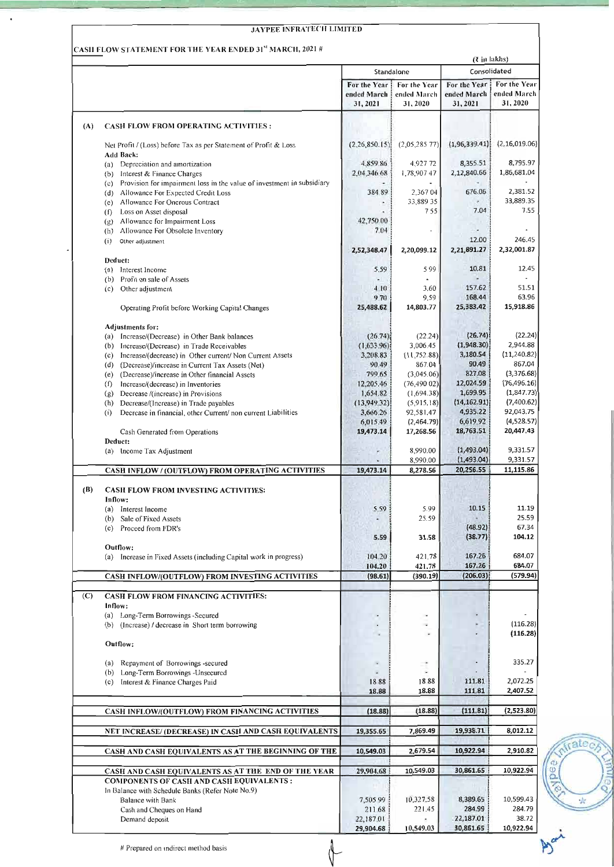|     |                                                                                                                                                                     |                                          |                                        |                                         | (₹ in lakhs)                           |
|-----|---------------------------------------------------------------------------------------------------------------------------------------------------------------------|------------------------------------------|----------------------------------------|-----------------------------------------|----------------------------------------|
|     |                                                                                                                                                                     |                                          | Standalone                             |                                         | Consolidated                           |
|     |                                                                                                                                                                     | For the Year!<br>ended March<br>31, 2021 | For the Year<br>ended March<br>31,2020 | For the Year!<br>ended March<br>31,2021 | For the Year<br>ended March<br>31,2020 |
| (A) | <b>CASH FLOW FROM OPERATING ACTIVITIES:</b>                                                                                                                         |                                          |                                        |                                         |                                        |
|     | Net Profit / (Loss) before Tax as per Statement of Profit & Loss<br><b>Add Back:</b>                                                                                | (2.26, 850.15)                           | (2,05,285,77)                          | (1, 96, 339.41)                         | (2, 16, 019.06)                        |
|     | (a) Depreciation and amortization<br>(b) Interest & Finance Charges                                                                                                 | 4,859.86<br>2.04.346.68                  | 4,927 72<br>1,78,907 47                | 8,355.51<br>2,12,840.66                 | 8,795.97<br>1,86,681.04                |
|     | Provision for impairment loss in the value of investment in subsidiary<br>(c)<br>Allowance For Expected Credit Loss<br>(d)<br>Allowance For Onerous Contract<br>(e) | 384.89                                   | 2,367 04<br>33,889 35                  | 676.06                                  | 2,381.52<br>33,889.35                  |
|     | (f) Loss on Asset disposal<br>Allowance for Impairment Loss<br>(g)                                                                                                  | 42,750.00                                | 755                                    | 7.04                                    | 7.55                                   |
|     | Allowance For Obsolcte Inventory<br>(h)                                                                                                                             | 7.04                                     |                                        |                                         |                                        |
|     | (i)<br>Other adjustment                                                                                                                                             | 2,52,348.47                              | 2,20,099.12                            | 12.00<br>2,21,891.27                    | 246.45<br>2,32,001.87                  |
|     | Deduct:<br>(a) Interest Income                                                                                                                                      | 5.59                                     | 599                                    | 10.81                                   | 12.45                                  |
|     | Profit on sale of Assets<br>(b)                                                                                                                                     |                                          |                                        |                                         |                                        |
|     | Other adjustment<br>(c)                                                                                                                                             | 4.10                                     | 3.60<br>9.59                           | 157.62<br>168.44                        | 51.51<br>63.96                         |
|     | Operating Profit before Working Capital Changes                                                                                                                     | 9.70<br>25,488.62                        | 14,803.77                              | 25,383.42                               | 15,918.86                              |
|     | <b>Adjustments for:</b>                                                                                                                                             |                                          |                                        |                                         |                                        |
|     | (a) Increase/(Decrease) in Other Bank balances                                                                                                                      | (26.74)                                  | (22.24)<br>3,006.45                    | (26.74)<br>(1,948.30)                   | (22.24)<br>2,944.88                    |
|     | (b) Increase/(Decrease) in Trade Receivables<br>Increase/(decrease) in Other current/ Non Current Assets<br>(c)                                                     | (1,633.96)<br>3.208.83                   | (11, 752.88)                           | 3,180.54                                | (11,240.82)                            |
|     | (Decrease)/increase in Current Tax Assets (Net)<br>(d)                                                                                                              | 90.49                                    | 867.04                                 | 90.49                                   | 867.04                                 |
|     | (Decrease)/increase in Other financial Assets<br>(e)                                                                                                                | 799.65                                   | (3,045.06)                             | 827.08                                  | (3,376.68)                             |
|     | Increase/(decrease) in Inventories<br>(f)                                                                                                                           | 12.205.46                                | (76, 49002)                            | 12,024.59                               | (76, 496.16)                           |
|     | Decrease /(increase) in Provisions<br>(g)                                                                                                                           | 1,654.82                                 | (1,694.38)                             | 1,699.95                                | (1,847.73)                             |
|     | Decrease/(Increase) in Trade payables<br>(h)                                                                                                                        | (13.949.32)                              | (5,915,18)                             | (14, 162.91)                            | (7,400.62)                             |
|     | Decrease in financial, other Current/non current Liabilities<br>(i)                                                                                                 | 3,666.26                                 | 92,581.47                              | 4,935.22                                | 92,043.75<br>(4,528.57)                |
|     | Cash Generated from Operations                                                                                                                                      | 6,015.49<br>19,473.14                    | (2,464.79)<br>17,268.56                | 6.619.92<br>18,763.51                   | 20,447.43                              |
|     | Deduct:<br>(a) Income Tax Adjustment                                                                                                                                |                                          | 8,990.00                               | (1, 493.04)                             | 9,331.57                               |
|     |                                                                                                                                                                     |                                          | 8,990.00<br>8,278.56                   | (1,493.04)<br>20,256.55                 | 9,331.57<br>11,115.86                  |
|     | CASH INFLOW / (OUTFLOW) FROM OPERATING ACTIVITIES                                                                                                                   | 19,473.14                                |                                        |                                         |                                        |
| (B) | <b>CASH FLOW FROM INVESTING ACTIVITIES:</b><br>Inflow:                                                                                                              |                                          |                                        |                                         |                                        |
|     | (a) Interest Income                                                                                                                                                 | 5.59                                     | 5.99                                   | 10.15                                   | 11.19                                  |
|     | Sale of Fixed Assets<br>(b)                                                                                                                                         |                                          | 25.59                                  |                                         | 25.59                                  |
|     | (c) Proceed from FDR's                                                                                                                                              | 5.59                                     | 31.58                                  | (48.92)<br>(38.77)                      | 67.34<br>104.12                        |
|     | Outflow:<br>(a) Increase in Fixed Assets (including Capital work in progress)                                                                                       | 104.20<br>104.20                         | 421.78<br>421.78                       | 167.26<br>167.26                        | 684.07<br>684.07                       |
|     | CASH INFLOW/(OUTFLOW) FROM INVESTING ACTIVITIES                                                                                                                     | (98.61)                                  | (390.19)                               | (206.03)                                | (579.94)                               |
| (C) | <b>CASH FLOW FROM FINANCING ACTIVITIES:</b>                                                                                                                         |                                          |                                        |                                         |                                        |
|     | Inflow:                                                                                                                                                             |                                          |                                        |                                         |                                        |
|     | (a) Long-Term Borrowings -Secured<br>(b) (Increase) / decrease in Short term borrowing                                                                              |                                          | $\overline{\phantom{a}}$               |                                         | (116.28)<br>(116.28)                   |
|     | Outflow:                                                                                                                                                            |                                          |                                        |                                         |                                        |
|     | Repayment of Borrowings -secured<br>(a)<br>(b) Long-Term Borrowings - Unsecured                                                                                     |                                          |                                        |                                         | 335.27                                 |
|     | (c) Interest & Finance Charges Paid                                                                                                                                 | 1888<br>18.88                            | 1888<br>18.88                          | 111.81<br>111.81                        | 2,072.25<br>2,407.52                   |
|     | CASH INFLOW/(OUTFLOW) FROM FINANCING ACTIVITIES                                                                                                                     | (18.88)                                  | (18.88)                                | (111.81)                                | (2,523.80)                             |
|     | NET INCREASE/(DECREASE) IN CASH AND CASH EQUIVALENTS                                                                                                                | 19,355.65                                | 7,869.49                               | 19,938.71                               | 8,012.12                               |
|     | CASH AND CASH EQUIVALENTS AS AT THE BEGINNING OF THE                                                                                                                | 10,549.03                                | 2,679.54                               | 10,922.94                               | 2,910.82                               |
|     | CASH AND CASH EQUIVALENTS AS AT THE END OF THE YEAR                                                                                                                 | 29,904.68                                | 10,549.03                              | 30,861.65                               | 10,922.94                              |
|     |                                                                                                                                                                     |                                          |                                        |                                         |                                        |
|     | COMPONENTS OF CASH AND CASH EQUIVALENTS :                                                                                                                           |                                          |                                        |                                         |                                        |
|     | In Balance with Schedule Banks (Refer Note No.9)                                                                                                                    |                                          |                                        |                                         |                                        |
|     | Balance with Bank                                                                                                                                                   | 7,505.99                                 | 10,327.58                              | 8,389.65                                | 10,599.43                              |
|     | Cash and Cheques on Hand<br>Demand deposit                                                                                                                          | 211.68<br>22,187.01                      | 221.45                                 | 284.99<br>22,187.01                     | 284.79<br>38.72                        |

 $\ddot{\phantom{a}}$ 

frate<sub>c</sub>

 $\mu$ 

E Ø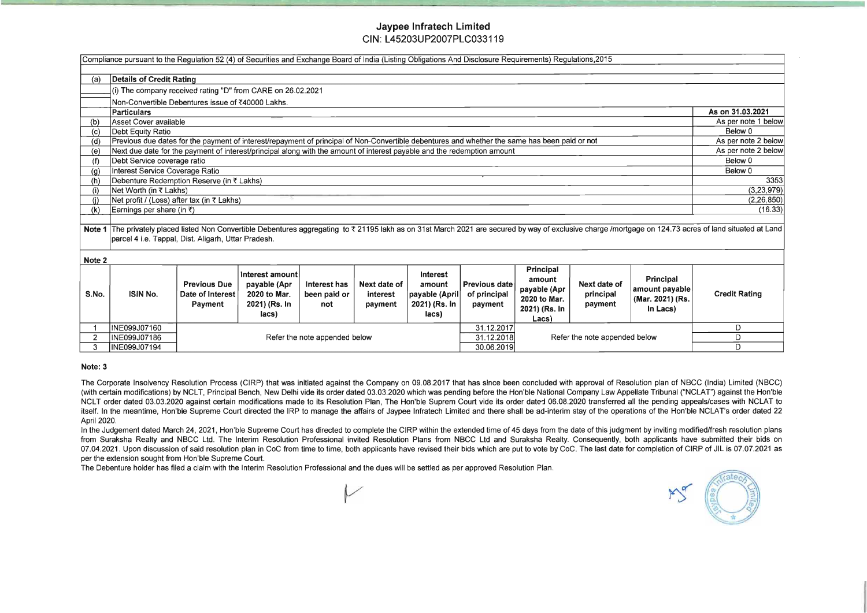# Jaypee Infratech Limited CIN:L45203UP2007PLC033119

|        | Compliance pursuant to the Regulation 52 (4) of Securities and Exchange Board of India (Listing Obligations And Disclosure Requirements) Regulations, 2015 |                                                           |                                                                           |                                     |                                     |                                                                       |                                                 |                                                                                      |                                      |                                                             |                                                                                                                                                                                                           |
|--------|------------------------------------------------------------------------------------------------------------------------------------------------------------|-----------------------------------------------------------|---------------------------------------------------------------------------|-------------------------------------|-------------------------------------|-----------------------------------------------------------------------|-------------------------------------------------|--------------------------------------------------------------------------------------|--------------------------------------|-------------------------------------------------------------|-----------------------------------------------------------------------------------------------------------------------------------------------------------------------------------------------------------|
| (a)    | Details of Credit Rating                                                                                                                                   |                                                           |                                                                           |                                     |                                     |                                                                       |                                                 |                                                                                      |                                      |                                                             |                                                                                                                                                                                                           |
|        | (i) The company received rating "D" from CARE on 26.02.2021                                                                                                |                                                           |                                                                           |                                     |                                     |                                                                       |                                                 |                                                                                      |                                      |                                                             |                                                                                                                                                                                                           |
|        | Non-Convertible Debentures issue of ₹40000 Lakhs.                                                                                                          |                                                           |                                                                           |                                     |                                     |                                                                       |                                                 |                                                                                      |                                      |                                                             |                                                                                                                                                                                                           |
|        | Particulars                                                                                                                                                |                                                           |                                                                           |                                     |                                     |                                                                       |                                                 |                                                                                      |                                      |                                                             | As on 31.03.2021                                                                                                                                                                                          |
| (b)    | Asset Cover available                                                                                                                                      |                                                           |                                                                           |                                     |                                     |                                                                       |                                                 |                                                                                      |                                      |                                                             | As per note 1 below                                                                                                                                                                                       |
| (c)    | Debt Equity Ratio                                                                                                                                          |                                                           |                                                                           |                                     |                                     |                                                                       |                                                 |                                                                                      |                                      |                                                             | Below 0                                                                                                                                                                                                   |
| (d)    | Previous due dates for the payment of interest/repayment of principal of Non-Convertible debentures and whether the same has been paid or not              |                                                           |                                                                           |                                     |                                     |                                                                       |                                                 |                                                                                      |                                      |                                                             | As per note 2 below                                                                                                                                                                                       |
| (e)    | Next due date for the payment of interest/principal along with the amount of interest payable and the redemption amount                                    |                                                           |                                                                           |                                     |                                     |                                                                       |                                                 |                                                                                      |                                      |                                                             | As per note 2 below                                                                                                                                                                                       |
| (f)    | Debt Service coverage ratio                                                                                                                                |                                                           |                                                                           |                                     |                                     |                                                                       |                                                 |                                                                                      | Below 0                              |                                                             |                                                                                                                                                                                                           |
| (g)    | Interest Service Coverage Ratio                                                                                                                            |                                                           |                                                                           |                                     |                                     |                                                                       |                                                 |                                                                                      | Below 0                              |                                                             |                                                                                                                                                                                                           |
| (h)    | Debenture Redemption Reserve (in ₹ Lakhs)                                                                                                                  |                                                           |                                                                           |                                     |                                     |                                                                       |                                                 |                                                                                      | 3353                                 |                                                             |                                                                                                                                                                                                           |
| (i)    | Net Worth (in ₹ Lakhs)                                                                                                                                     |                                                           |                                                                           |                                     |                                     |                                                                       |                                                 |                                                                                      | (3, 23, 979)                         |                                                             |                                                                                                                                                                                                           |
|        | Net profit / (Loss) after tax (in ₹ Lakhs)                                                                                                                 |                                                           |                                                                           |                                     |                                     |                                                                       |                                                 |                                                                                      | (2, 26, 850)                         |                                                             |                                                                                                                                                                                                           |
|        | Earnings per share (in ₹)<br>(k)                                                                                                                           |                                                           |                                                                           |                                     |                                     |                                                                       |                                                 |                                                                                      | (16.33)                              |                                                             |                                                                                                                                                                                                           |
|        |                                                                                                                                                            |                                                           |                                                                           |                                     |                                     |                                                                       |                                                 |                                                                                      |                                      |                                                             |                                                                                                                                                                                                           |
|        |                                                                                                                                                            |                                                           |                                                                           |                                     |                                     |                                                                       |                                                 |                                                                                      |                                      |                                                             | Note 1 The privately placed listed Non Convertible Debentures aggregating to ₹ 21195 lakh as on 31st March 2021 are secured by way of exclusive charge /mortgage on 124.73 acres of land situated at Land |
|        | parcel 4 i.e. Tappal, Dist. Aligarh, Uttar Pradesh.                                                                                                        |                                                           |                                                                           |                                     |                                     |                                                                       |                                                 |                                                                                      |                                      |                                                             |                                                                                                                                                                                                           |
| Note 2 |                                                                                                                                                            |                                                           |                                                                           |                                     |                                     |                                                                       |                                                 |                                                                                      |                                      |                                                             |                                                                                                                                                                                                           |
| S.No.  | <b>ISIN No.</b>                                                                                                                                            | <b>Previous Due</b><br>Date of Interest<br><b>Payment</b> | Interest amount<br>payable (Apr<br>2020 to Mar.<br>2021) (Rs. In<br>lacs) | Interest has<br>been paid or<br>not | Next date of<br>interest<br>payment | <b>Interest</b><br>amount<br>payable (April<br>2021) (Rs. In<br>lacs) | <b>Previous date</b><br>of principal<br>payment | <b>Principal</b><br>amount<br>payable (Apr<br>2020 to Mar.<br>2021) (Rs. In<br>Lacs) | Next date of<br>principal<br>payment | Principal<br>amount payable<br>(Mar. 2021) (Rs.<br>In Lacs) | <b>Credit Rating</b>                                                                                                                                                                                      |
|        | INE099J07160                                                                                                                                               |                                                           |                                                                           |                                     |                                     |                                                                       | 31.12.2017                                      |                                                                                      |                                      | D                                                           |                                                                                                                                                                                                           |
|        | INE099J07186                                                                                                                                               |                                                           |                                                                           | Refer the note appended below       |                                     |                                                                       | 31.12.2018                                      |                                                                                      | Refer the note appended below        |                                                             | D                                                                                                                                                                                                         |
| 3      | INE099J07194                                                                                                                                               | 30.06.2019                                                |                                                                           |                                     |                                     | D                                                                     |                                                 |                                                                                      |                                      |                                                             |                                                                                                                                                                                                           |

In the Judgement dated March 24, 2021, Hon'ble Supreme Court has directed to complete the CIRP within the extended time of 45 days from the date of this judgment by inviting modified/fresh resolution plans from Suraksha Realty and NBCC Ltd. The Interim Resolution Professional invited Resolution Plans from NBCC Ltd and Suraksha Realty. Consequently, both applicants have submitted their bids on 07.04.2021. Upon discussion of said resolution plan in CoC from time to time, both applicants have revised their bids which are put to vote by CoC. The last date for completion of CIRP of JIL is 07.07.2021 as per the extension sought from Hon'ble Supreme Court.

### Note: 3

The Corporate Insolvency Resolution Process (CIRP) that was initiated against the Company on 09.08.2017 that has since been concluded with approval of Resolution plan of NBCC (India) Limited (NBCC) (with certain modifications) by NCLT, Principal Bench, New Delhi vide its order dated 03.03.2020 which was pending before the Hon'ble National Company Law Appellate Tribunal ("NCLAT") against the Hon'ble NCLT order dated 03.03.2020 against certain modifications made to its Resolution Plan, The Hon'ble Suprem Court vide its order dated 06.08.2020 transferred all the pending appeals/cases with NCLAT to itself. In the meantime, Hon'ble Supreme Court directed the IRP to manage the affairs of Jaypee Infratech Limited and there shall be ad-interim stay of the operations of the Hon'ble NCLAT's order dated 22 April 2020.

The Debenture holder has filed a claim with the Interim Resolution Professional and the dues will be settled as per approved Resolution Plan.

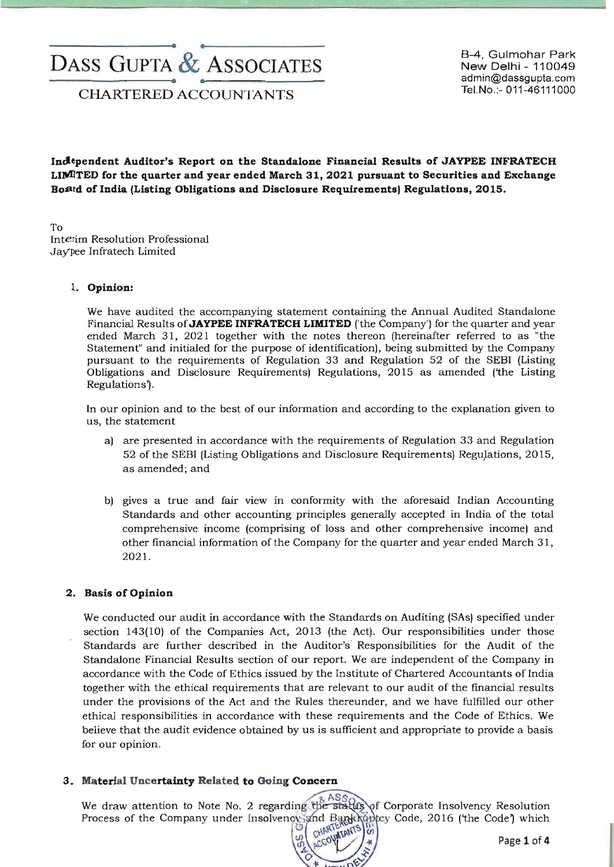# --------------------e. ..-------------------  $\text{DASS GUPTA} \overset{\mathcal{L}}{\mathcal{L}} \text{ASSOCIATES}$ B-4, Gulmohar Park New Delhi - 110049

Tel.No.:- 011-46111000<br>CHARTERED ACCOUNTANTS

New Delhi - 110049 admin@dassgupta.com

Independent Auditor's Report on the Standalone Financial Results of JAYPEE INFRATECH LllVllTED for the quarter and year ended March 31, 2021 pursuant to Securities and Exchange BoBrd of India (Listing Obligations and Disclosure Requirements) Regulations, 2015.

To Interim Resolution Professional Jay'pee Infratech Limited

#### 1. Opinion:

We have audited the accompanying statement containing the Annual Audited Standalone Financial Results of JAYPEE INFRATECH LIMITED ('the Company') for the quarter and year ended March 31, 2021 together with the notes thereon (hereinafter referred to as "the Statement" and initialed for the purpose of identification), being submitted by the Company pursuant to the requirements of Regulation 33 and Regulation 52 of the SEBI (Listing Obligations and Disclosure Requirements) Regulations, 2015 as amended ('the Listing Regulations').

In our opinion and to the best of our information and according to the explanation given to us, the statement

- a) are presented in accordance with the requirements of Regulation 33 and Regulation 52 ofthe SEBI (Listing Obligations and Disclosure Requirements) ReguJations, 2015, as amended; and
- b) gives a true and fair view in conformity with the aforesaid Indian Accounting Standards and other accounting principles generally accepted in India of the total comprehensive income (comprising of loss and other comprehensive income) and other financial information of the Company for the quarter and year ended March 31, 2021.

#### 2. Basis of Opinion

We conducted our audit in accordance with the Standards on Auditing (SAs) specified under section 143(10) of the Companies Act, 2013 (the Act). Our responsibilities under those Standards are further described in the Auditor's Responsibilities for the Audit of the Standalone Financial Results section of our report. We are independent of the Company in accordance with the Code of Ethics issued by the Institute of Chartered Accountants of India together with the ethical requirements that are relevant to our audit of the fmancial results under the provisions of the Act and the Rules thereunder, and we have fulfilled our other ethical responsibilities in accordance with these requirements and the Code of Ethics. We believe that the audit evidence obtained by us is sufficient and appropriate to provide a basis for our opinion.

#### 3. Material Uncertainty Related to Going Concern

We draw attention to Note No. 2 regarding the status of Corporate Insolvency Resolution Process of the Company under Insolvency and Bankraptcy Code, 2016 (the Code) which<br> $\begin{pmatrix} 0 \\ 0 \\ 0 \end{pmatrix}$  (the Code) which<br>Page 1 of 4 CHARTERED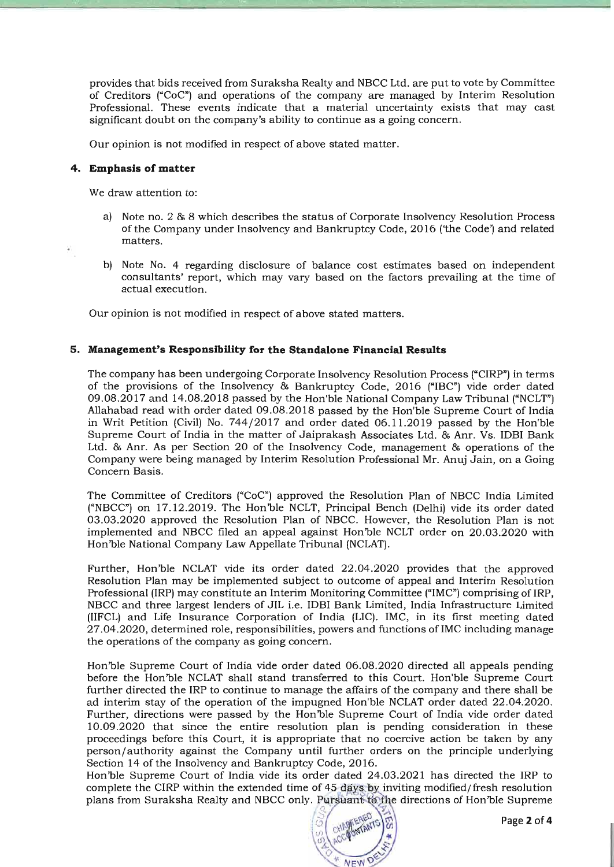provides that bids received from Suraksha Realty and NBCC Ltd. are put to vote by Committee of Creditors ("CoC") and operations of the company are managed by Interim Resolution Professional. These events indicate that a material uncertainty exists that may cast significant doubt on the company's ability to continue as a going concern.

Our opinion is not modified in respect of above stated matter.

#### **4. Emphasis of matter**

We draw attention to:

- a) Note no. 2 & 8 which describes the status of Corporate Insolvency Resolution Process of the Company under Insolvency and Bankruptcy Code, 2016 ('the Code') and related matters.
- b) Note No. 4 regarding disclosure of balance cost estimates based on independent consultants' report, which may vary based on the factors prevailing at the time of actual execution.

Our opinion is not modified in respect of above stated matters.

#### **5. Management's Responsibility for the Standalone Financial Results**

The company has been undergoing Corporate Insolvency Resolution Process ("CIRP") in terms of the provisions of the Insolvency & Bankruptcy Code, 2016 ("IBC") vide order dated 09.08.2017 and 14.08.2018 passed by the Hon'ble National Company Law Tribunal ("NCLT") Allahabad read with order dated 09.08.2018 passed by the Hon'ble Supreme Court of India in Writ Petition (Civil) No. 744/2017 and order dated 06.11.2019 passed by the Hon'ble Supreme Court of India in the matter of Jaiprakash Associates Ltd. & Anr. Vs. IDBI Bank Ltd. & Anr. As per Section 20 of the Insolvency Code, management & operations of the Company were being managed by Interim Resolution Professional Mr. Anuj Jain, on a Going Concern Basis.

The Committee of Creditors ("CoC") approved the Resolution Plan of NBCC India Limited ("NBCC") on 17.12.2019. The Hon'ble NCLT, Principal Bench (Delhi) vide its order dated 03.03.2020 approved the Resolution Plan of NBCC. However, the Resolution Plan is not implemented and NBCC filed an appeal against Hon'ble NCLT order on 20.03.2020 with Hon'ble National Company Law Appellate Tribunal (NCLAT).

Further, Hon'ble NCLAT vide its order dated 22.04.2020 provides that the approved Resolution Plan may be implemented subject to outcome of appeal and Interim Resolution Professional (IRP) may constitute an Interim Monitoring Committee ("IMC") comprising of IRP, NBCC and three largest lenders of JIL i.e. IDB! Bank Limited, India Infrastructure Limited (IIFCL) and Life Insurance Corporation of India (LIC). IMC, in its first meeting dated . 27.04.2020, determined role, responsibilities, powers and functions ofIMC including manage the operations of the company as going concern.

Hon'ble Supreme Court of India vide order dated 06.08.2020 directed all appeals pending before the Hon'ble NCLAT shall stand transferred to this Court. Hon'ble Supreme Court further directed the IRP to continue to manage the affairs of the company and there shall be ad interim stay of the operation of the impugned Hon'ble NCLAT order dated 22.04.2020. Further, directions were passed by the Hon'ble Supreme Court of India vide order dated 10.09.2020 that since the entire resolution plan is pending consideration in these proceedings before this Court, it is appropriate that no coercive action be taken by any person/ authority against the Company until further orders on the principle underlying Section 14 of the Insolvency and Bankruptcy Code, 2016.

Hon'ble Supreme Court of India vide its order dated 24.03.2021 has directed the IRP to complete the CIRP within the extended time of 45 days by inviting modified/fresh resolution plans from Suraksha Realty and NBCC only. Pursuant to the directions of Hon'ble Supreme

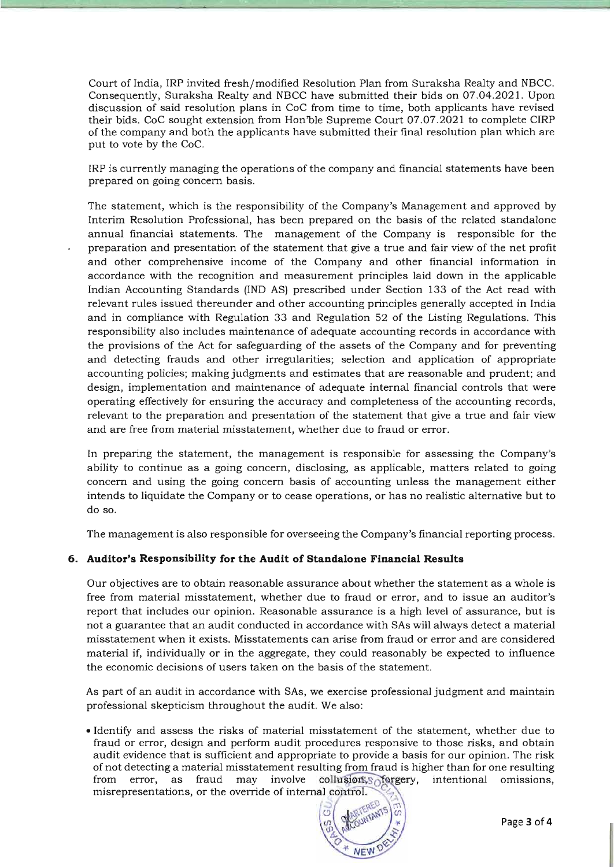Court of India, IRP invited fresh/modified Resolution Plan from Suraksha Realty and NBCC. Consequently, Suraksha Realty and NBCC have submitted their bids on 07.04.2021. Upon discussion of said resolution plans in CoC from time to time, both applicants have revised their bids. CoC sought extension from Hon'ble Supreme Court  $07.07.2021$  to complete CIRP of the company and both the applicants have submitted their final resolution plan which are put to vote by the CoC.

IRP is currently managing the operations of the company and financial statements have been prepared on going concern basis.

The statement, which is the responsibility of the Company's Management and approved by Interim Resolution Professional, has been prepared on the basis of the related standalone annual financial statements. The management of the Company is responsible for the preparation and presentation of the statement that give a true and fair view of the net profit and other comprehensive income of the Company and other financial information in accordance with the recognition and measurement principles laid down in the applicable Indian Accounting Standards (IND AS) prescribed under Section 133 of the Act read with relevant rules issued thereunder and other accounting principles generally accepted in India and in compliance with Regulation 33 and Regulation 52 of the Listing Regulations. This responsibility also includes maintenance of adequate accounting records in accordance with the provisions of the Act for safeguarding of the assets of the Company and for preventing and detecting frauds and other irregularities; selection and application of appropriate accounting policies; making judgments and estimates that are reasonable and prudent; and design, implementation and maintenance of adequate internal financial controls that were operating effectively for ensuring the accuracy and completeness of the accounting records, relevant to the preparation and presentation of the statement that give a true and fair view and are free from material misstatement, whether due to fraud or error.

In preparing the statement, the management is responsible for assessing the Company's ability to continue as a going concern, disclosing, as applicable, matters related to going concern and using the going concern basis of accounting unless the management either intends to liquidate the Company or to cease operations, or has no realistic alternative but to do so.

The management is also responsible for overseeing the Company's financial reporting process.

#### **6. Auditor's Responsibility for the Audit of Standalone Financial Results**

Our objectives are to obtain reasonable assurance about whether the statement as a whole is free from material misstatement, whether due to fraud or error, and to issue an auditor's report that includes our opinion. Reasonable assurance is a high level of assurance, but is not a guarantee that an audit conducted in accordance with SAs will always detect a material misstatement when it exists. Misstatements can arise from fraud or error and are considered material if, individually or in the aggregate, they could reasonably be expected to influence the economic decisions of users taken on the basis of the statement.

As part of an audit in accordance with SAs, we exercise professional judgment and maintain professional skepticism throughout the audit. We also:

• Identify and assess the risks of material misstatement of the statement, whether due to fraud or error, design and perform audit procedures responsive to those risks, and obtain audit evidence that is sufficient and appropriate to provide a basis for our opinion. The risk of not detecting a material misstatement resulting from fraud is higher than for one resulting from error, as fraud may involve of not detecting a material misstatement resulting from fraud is higher than for one resulting misrepresentations, or the override of internal control.

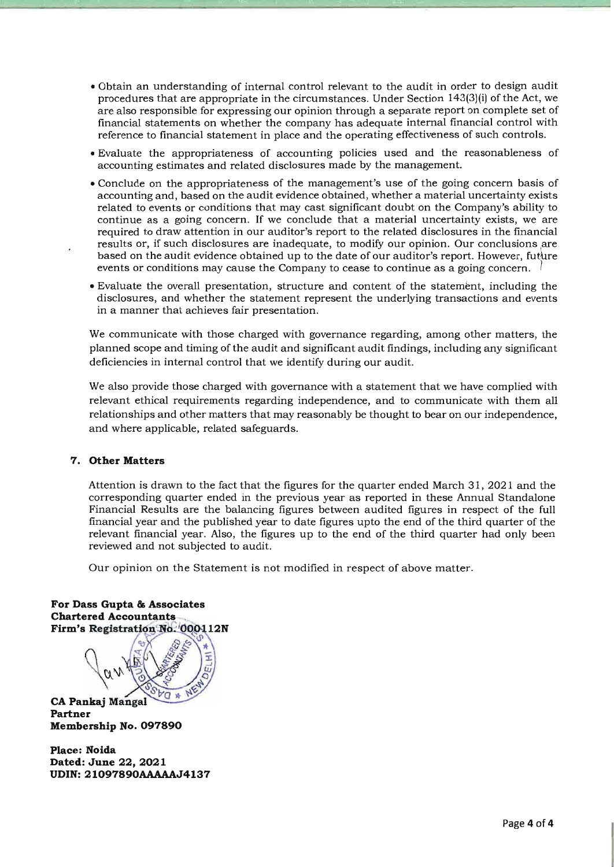- Obtain an understanding of internal control relevant to the audit in order to design audit procedures that are appropriate in the circumstances. Under Section 143(3)(i) of the Act, we are also responsible for expressing our opinion through a separate report on complete set of financial statements on whether the company has adequate internal financial control with reference to financial statement in place and the operating effectiveness of such controls.
- Evaluate the appropriateness of accounting policies used and the reasonableness of accounting estimates and related disclosures made by the management.
- Conclude on the appropriateness of the management's use of the going concern basis of accounting and, based on the audit evidence obtained, whether a material uncertainty exists related to events or conditions that may cast significant doubt on the Company's ability to continue as a going concern. If we conclude that a material uncertainty exists, we are required to draw attention in our auditor's report to the related disclosures in the financial results or, if such disclosures are inadequate, to modify our opinion. Our conclusions are based on the audit evidence obtained up to the date of our auditor's report. However, future events or conditions may cause the Company to cease to continue as a going concern . I
- Evaluate the overall presentation, structure and content of the statement, including the disclosures, and whether the statement represent the underlying transactions and events in a manner that achieves fair presentation.

We communicate with those charged with governance regarding, among other matters, the planned scope and timing of the audit and significant audit findings, including any significant deficiencies in internal control that we identify during our audit.

We also provide those charged with governance with a statement that we have complied with relevant ethical requirements regarding independence, and to communicate with them all relationships and other matters that may reasonably be thought to bear on our independence, and where applicable, related safeguards.

#### **7. Other Matters**

Attention is drawn to the fact that the figures for the quarter ended March 31, 2021 and the corresponding quarter ended in the previous year as reported in these Annual Standalone Financial Results are the balancing figures between audited figures in respect of the full financial year and the published year to date figures upto the end of the third quarter of the relevant financial year. Also, the figures up to the end of the third quarter had only been reviewed and not subjected to audit.

Our opinion on the Statement is not modified in respect of above matter.

For Dass Gupta & Associates **Chartered Accountants** Firm's Registration No. 000112N

CA Pankaj Mangal

Partner Membership No. 097890

**Place: Noida Dated: June 22, 2021**  UDIN: 21097890AAAAAAJ4137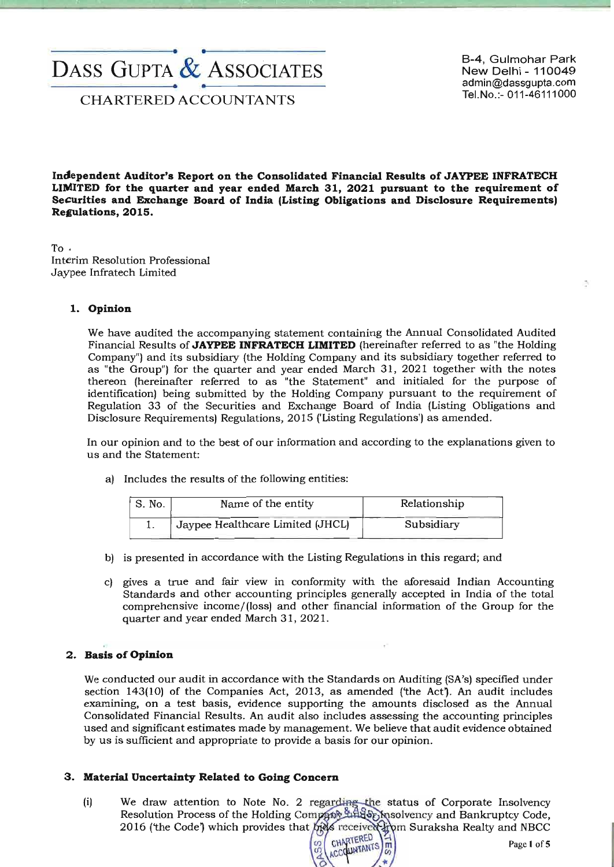# --------------------e. ..------------------- DASS GUPTA & ASSOCIATES

B-4, Gulmohar Park New Delhi - 110049 admin@dassgupta.com<br>Tel.No.:- 011-46111000

Tel.No.:- 011-46111000<br>CHARTERED ACCOUNTANTS

**Incfependent Auditor's Report on the Consolidated Financial Results of JAYPEE INFRATECH LIMITED for the quarter and year ended March 31, 2021 pursuant to the requirement of Securities and Exchange Board of India (Listing Obligations and Disclosure Requirements) Replations,2015.** 

To. Interim Resolution Professional Jaypee Infratech Limited

#### **1. Opinion**

We have audited the accompanying statement containing the Annual Consolidated Audited Financial Results of **JAYPEE INFRATECH LIMITED** (hereinafter referred to as "the Holding Company") and its subsidiary (the Holding Company and its subsidiary together referred to as "the Group") for the quarter and year ended March 31, 2021 together with the notes thereon (hereinafter referred to as "the Statement" and initialed for the purpose of identification) being submitted by the Holding Company pursuant to the requirement of Regulation 33 of the Securities and Exchange Board of India (Listing Obligations and Disclosure Requirements) Regulations, 2015 ('Listing Regulations') as amended.

In our opinion and to the best of our information and according to the explanations given to us and the Statement:

a) Includes the results of the following entities:

| S. No. | Name of the entity               | Relationship |
|--------|----------------------------------|--------------|
|        | Jaypee Healthcare Limited (JHCL) | Subsidiary   |

- b) is presented in accordance with the Listing Regulations in this regard; and
- c) gives a true and fair view in conformity with the aforesaid Indian Accounting Standards and other accounting principles generally accepted in India of the total comprehensive income/(loss) and other financial information of the Group for the quarter and year ended March 31, 2021.

# **2. Basis of Opinion**

We conducted our audit in accordance with the Standards on Auditing (SA's) specified under section  $143(10)$  of the Companies Act, 2013, as amended ('the Act'). An audit includes examining, on a test basis, evidence supporting the amounts disclosed as the Annual Consolidated Financial Results. An audit also includes assessing the accounting principles used and significant estimates made by management. We believe that audit evidence obtained by us is sufficient and appropriate to provide a basis for our opinion.

#### **3. Material Uncertainty Related to Going Concern**

(i) We draw attention to Note No. 2 regarding the Resolution Process of the Holding Company Line 2016 (the Code) which provides that help received hym Suraksha Realty and NBCC

CHARTERED CHARTERED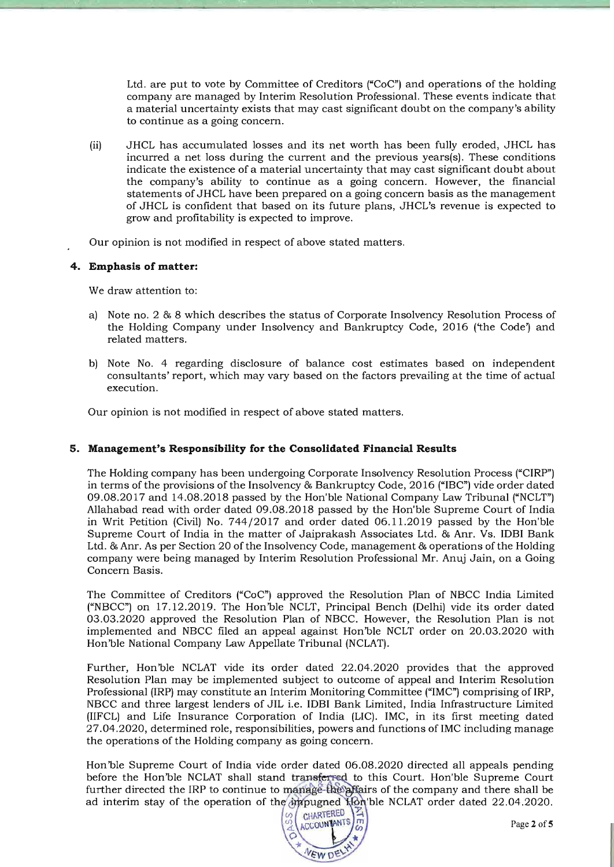Ltd. are put to vote by Committee of Creditors ("CoC") and operations of the holding company are managed by Interim Resolution Professional. These events indicate that a material uncertainty exists that may cast significant doubt on the company's ability to continue as a going concern.

- (ii) JHCL has accumulated losses and its net worth has been fully eroded, JHCL has incurred a net loss during the current and the previous years(s). These conditions indicate the existence of a material uncertainty that may cast significant doubt about the company's ability to continue as a going concern. However, the financial statements of JHCL have been prepared on a going concern basis as the management of JHCL is confident that based on its future plans, JHCL's revenue is expected to grow and profitability is expected to improve.
- Our opinion is not modified in respect of above stated matters.

#### **4. Emphasis of matter:**

We draw attention to:

- a) Note no. 2 & 8 which describes the status of Corporate Insolvency Resolution Process of the Holding Company under Insolvency and Bankruptcy Code, 2016 ('the Code') and related matters.
- b) Note No. 4 regarding disclosure of balance cost estimates based on independent consultants' report, which may vary based on the factors prevailing at the time of actual execution.

Our opinion is not modified in respect of above stated matters.

#### **5. Management's Responsibility for the Consolidated Financial Results**

The Holding company has been undergoing Corporate Insolvency Resolution Process ("CIRP") in terms of the provisions of the Insolvency & Bankruptcy Code, 2016 ("IBC") vide order dated 09.08.2017 and 14.08.2018 passed by the Hon'ble National Company Law Tribunal ("NCLT") Allahabad read with order dated 09.08.2018 passed by the Hon'ble Supreme Court of India in Writ Petition (Civil) No. 744/2017 and order dated 06.11.2019 passed by the Hon'ble Supreme Court of India in the matter of Jaiprakash Associates Ltd. & Anr. Vs. IDBI Bank Ltd. & Anr. As per Section 20 of the Insolvency Code, management & operations of the Holding company were being managed by Interim Resolution Professional Mr. Anuj Jain, on a Going Concern Basis.

The Committee of Creditors ("CoC") approved the Resolution Plan of NBCC India Limited ("NBCC") on 17.12.2019. The Hon'ble NCLT, Principal Bench (Delhi) vide its order dated 03.03.2020 approved the Resolution Plan of NBCC. However, the Resolution Plan is not implemented and NBCC filed an appeal against Hon'ble NCLT order on 20.03.2020 with Hon'ble National Company Law Appellate Tribunal (NCLAT).

Further, Hon'ble NCLAT vide its order dated 22.04.2020 provides that the approved Resolution Plan may be implemented subject to outcome of appeal and Interim Resolution Professional (IRP) may constitute an Interim Monitoring Committee ("IMC") comprising of IRP, NBCC and three largest lenders of JIL i.e. IDBI Bank Limited, India Infrastructure Limited (IIFCL) and Life Insurance Corporation of India (LIC). IMC, in its first meeting dated 27.04.2020, determined role, responsibilities, powers and functions ofIMC including manage the operations of the Holding company as going concern.

Hon'ble Supreme Court of India vide order dated 06.08.2020 directed all appeals pending before the Hon'ble NCLAT shall stand transferred to this Court. Hon'ble Supreme Court further directed the IRP to continue to manage-the affairs of the company and there shall be ad interim stay of the operation of the impugned Hon'ble NCLAT order dated 22.04.2020.

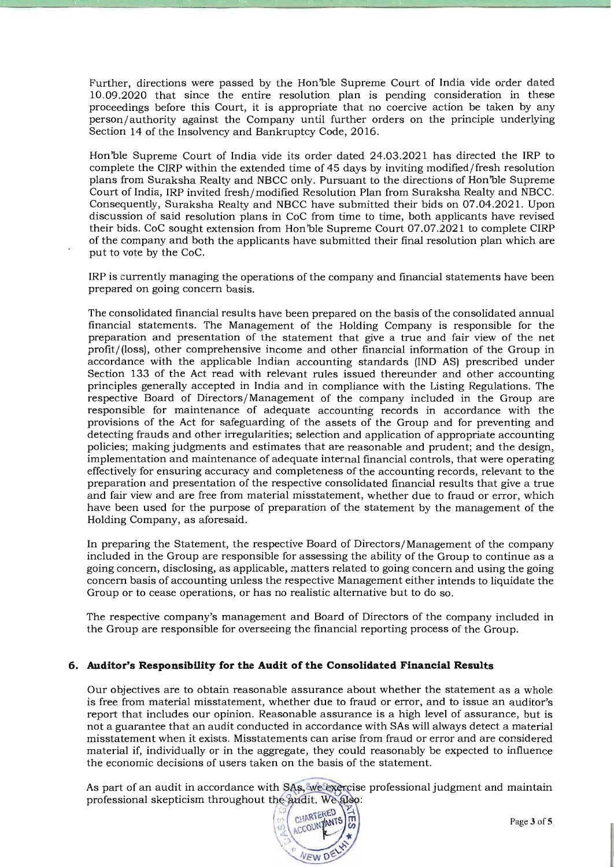Further, directions were passed by the Hon'ble Supreme Court of India vide order dated 10.09.2020 that since the entire resolution plan is pending consideration in these proceedings before this Court, it is appropriate that no coercive action be taken by any person/ authority against the Company until further orders on the principle underlying Section 14 of the Insolvency and Bankruptcy Code, 2016.

Hon 'ble Supreme Court of India vide its order dated 24.03.2021 has directed the IRP to complete the CIRP within the extended time of 45 days by inviting modified/fresh resolution plans from Suraksha Realty and NBCC only. Pursuant to the directions of Hon'ble Supreme Court of India, IRP invited fresh/modified Resolution Plan from Suraksha Realty and NBCC. Consequently, Suraksha Realty and NBCC have submitted their bids on 07.04.2021. Upon discussion of said resolution plans in CoC from time to time, both applicants have revised their bids. CoC sought extension from Hon'ble Supreme Court 07.07.2021 to complete CIRP of the company and both the applicants have submitted their final resolution plan which are put to vote by the CoC.

IRP is currently managing the operations of the company and financial statements have been prepared on going concern basis.

The consolidated financial results have been prepared on the basis of the consolidated annual financial statements. The Management of the Holding Company is responsible for the preparation and presentation of the statement that give a true and fair view of the net profit/ (loss), other comprehensive income and other financial information of the Group in accordance with the applicable Indian accounting standards (IND AS) prescribed under Section 133 of the Act read with relevant rules issued thereunder and other accounting principles generally accepted in India and in compliance with the Listing Regulations. The respective Board of Directors/Management of the company included in the Group are responsible for maintenance of adequate accounting records in accordance with the provisions of the Act for safeguarding of the assets of the Group and for preventing and detecting frauds and other irregularities; selection and application of appropriate accounting policies; making judgments and estimates that are reasonable and prudent; and the design, implementation and maintenance of adequate internal financial controls, that were operating effectively for ensuring accuracy and completeness of the accounting records, relevant to the preparation and presentation of the respective consolidated financial results that give a true and fair view and are free from material misstatement, whether due to fraud or error, which have been used for the purpose of preparation of the statement by the management of the Holding Company, as aforesaid.

In preparing the Statement, the respective Board of Directors/Management of the company included in the Group are responsible for assessing the ability of the Group to continue as a going concern, disclosing, as applicable, matters related to going concern and using the going concern basis of accounting unless the respective Management either intends to liquidate the Group or to cease operations, or has no realistic alternative but to do so.

The respective company's management and Board of Directors of the company included in the Group are responsible for overseeing the financial reporting process of the Group.

#### **6. Auditor's Responsibility for the Audit of the Consolidated Financial Results**

Our objectives are to obtain reasonable assurance about whether the statement as a whole is free from material misstatement, whether due to fraud or error, and to issue an auditor's report that includes our opinion. Reasonable assurance is a high level of assurance, but is not a guarantee that an audit conducted in accordance with SAs will always detect a material misstatement when it exists. Misstatements can arise from fraud or error and are considered material if, individually or in the aggregate, they could reasonably be expected to influence the economic decisions of users taken on the basis of the statement.

As part of an audit in accordance with SAs, we exercise professional judgment and maintain professional skepticism throughout the andit. We also:

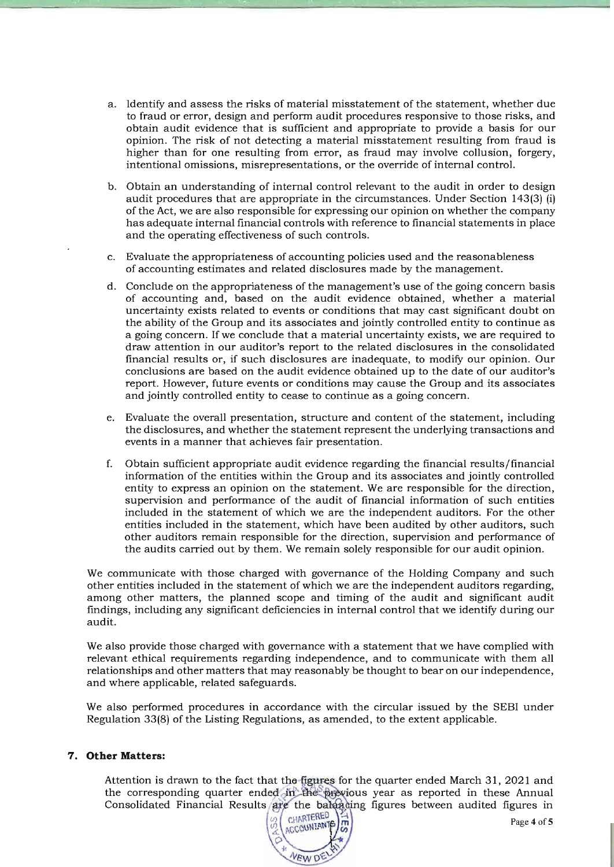- a. Identify and assess the risks of material misstatement of the statement, whether due to fraud or error, design and perform audit procedures responsive to those risks, and obtain audit evidence that is sufficient and appropriate to provide a basis for our opinion. The risk of not detecting a material misstatement resulting from fraud is higher than for one resulting from error, as fraud may involve collusion, forgery, intentional omissions, misrepresentations, or the override of internal controL
- b. Obtain an understanding of internal control relevant to the audit in order to design audit procedures that are appropriate in the circumstances. Under Section 143(3) (i) of the Act, we are also responsible for expressing our opinion on whether the company has adequate internal financial controls with reference to financial statements in place and the operating effectiveness of such controls.
- c. Evaluate the appropriateness of accounting policies used and the reasonableness of accounting estimates and related disclosures made by the management.
- d. Conclude on the appropriateness of the management's use of the going concern basis of accounting and, based on the audit evidence obtained, whether a material uncertainty exists related to events or conditions that may cast significant doubt on the ability of the Group and its associates and jointly controlled entity to continue as a going concern. If we conclude that a material uncertainty exists, we are required to draw attention in our auditor's report to the related disclosures in the consolidated financial results or, if such disclosures are inadequate, to modify our opinion. Our conclusions are based on the audit evidence obtained up to the date of our auditor's report. However, future events or conditions may cause the Group and its associates and jointly controlled entity to cease to continue as a going concern.
- e. Evaluate the overall presentation, structure and content of the statement, including the disclosures, and whether the statement represent the underlying transactions and events in a manner that achieves fair presentation.
- f. Obtain sufficient appropriate audit evidence regarding the financial results/financial information of the entities within the Group and its associates and jointly controlled entity to express an opinion on the statement. We are responsible for the direction, supervision and performance of the audit of financial information of such entities included in the statement of which we are the independent auditors. For the other entities included in the statement, which have been audited by other auditors, such other auditors remain responsible for the direction, supervision and performance of the audits carried out by them. We remain solely responsible for our audit opinion.

We communicate with those charged with governance of the Holding Company and such other entities included in the statement of which we are the independent auditors regarding, among other matters, the planned scope and timing of the audit and significant audit findings, including any significant deficiencies in internal control that we identify during our audit.

We also provide those charged with governance with a statement that we have complied with relevant ethical requirements regarding independence, and to communicate with them all relationships and other matters that may reasonably be thought to bear on our independence, and where applicable, related safeguards.

We also performed procedures in accordance with the circular issued by the SEBI under Regulation 33(8) of the Listing Regulations, as amended, to the extent applicable.

#### 7. **Other Matters:**

Attention is drawn to the fact that the figures for the quarter ended March 31, 2021 and the corresponding quarter ended in the previous year as reported in these Annual Consolidated Financial Results are the balgading figures between audited figures in